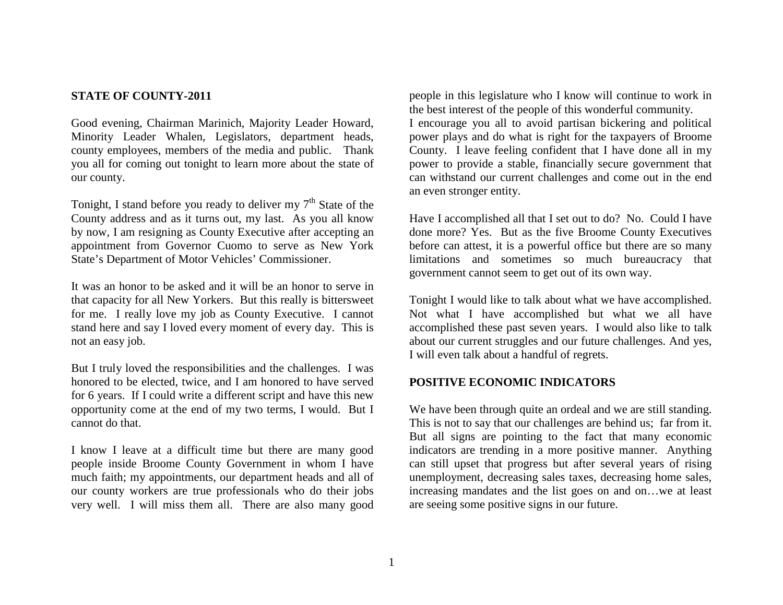### **STATE OF COUNTY-2011**

Good evening, Chairman Marinich, Majority Leader Howard, Minority Leader Whalen, Legislators, department heads, county employees, members of the media and public. Thank you all for coming out tonight to learn more about the state of our county.

Tonight, I stand before you ready to deliver my  $7<sup>th</sup>$  State of the County address and as it turns out, my last. As you all know by now, I am resigning as County Executive after accepting an appointment from Governor Cuomo to serve as New York State's Department of Motor Vehicles' Commissioner.

It was an honor to be asked and it will be an honor to serve in that capacity for all New Yorkers. But this really is bittersweet for me. I really love my job as County Executive. I cannot stand here and say I loved every moment of every day. This is not an easy job.

But I truly loved the responsibilities and the challenges. I was honored to be elected, twice, and I am honored to have served for 6 years. If I could write a different script and have this new opportunity come at the end of my two terms, I would. But I cannot do that.

I know I leave at a difficult time but there are many good people inside Broome County Government in whom I have much faith; my appointments, our department heads and all of our county workers are true professionals who do their jobs very well. I will miss them all. There are also many good

people in this legislature who I know will continue to work in the best interest of the people of this wonderful community. I encourage you all to avoid partisan bickering and political power plays and do what is right for the taxpayers of Broome County. I leave feeling confident that I have done all in my power to provide a stable, financially secure government that can withstand our current challenges and come out in the end an even stronger entity.

Have I accomplished all that I set out to do? No. Could I have done more? Yes. But as the five Broome County Executives before can attest, it is a powerful office but there are so many limitations and sometimes so much bureaucracy that government cannot seem to get out of its own way.

Tonight I would like to talk about what we have accomplished. Not what I have accomplished but what we all have accomplished these past seven years. I would also like to talk about our current struggles and our future challenges. And yes, I will even talk about a handful of regrets.

#### **POSITIVE ECONOMIC INDICATORS**

We have been through quite an ordeal and we are still standing. This is not to say that our challenges are behind us; far from it. But all signs are pointing to the fact that many economic indicators are trending in a more positive manner. Anything can still upset that progress but after several years of rising unemployment, decreasing sales taxes, decreasing home sales, increasing mandates and the list goes on and on…we at least are seeing some positive signs in our future.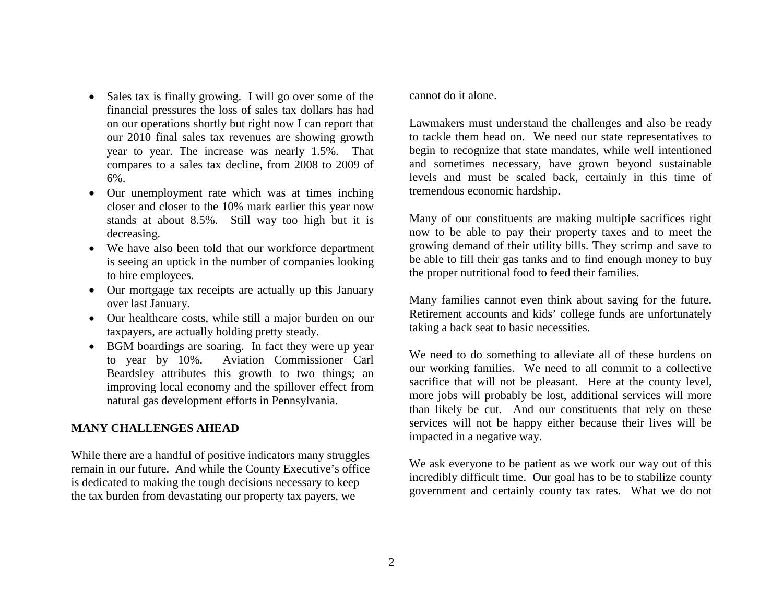- Sales tax is finally growing. I will go over some of the financial pressures the loss of sales tax dollars has had on our operations shortly but right now I can report that our 2010 final sales tax revenues are showing growth year to year. The increase was nearly 1.5%. That compares to a sales tax decline, from 2008 to 2009 of 6%.
- Our unemployment rate which was at times inching closer and closer to the 10% mark earlier this year now stands at about 8.5%. Still way too high but it is decreasing.
- We have also been told that our workforce department is seeing an uptick in the number of companies looking to hire employees.
- Our mortgage tax receipts are actually up this January over last January.
- Our healthcare costs, while still a major burden on our taxpayers, are actually holding pretty steady.
- BGM boardings are soaring. In fact they were up year to year by 10%. Aviation Commissioner Carl Beardsley attributes this growth to two things; an improving local economy and the spillover effect from natural gas development efforts in Pennsylvania.

### **MANY CHALLENGES AHEAD**

While there are a handful of positive indicators many struggles remain in our future. And while the County Executive's office is dedicated to making the tough decisions necessary to keep the tax burden from devastating our property tax payers, we

cannot do it alone.

Lawmakers must understand the challenges and also be ready to tackle them head on. We need our state representatives to begin to recognize that state mandates, while well intentioned and sometimes necessary, have grown beyond sustainable levels and must be scaled back, certainly in this time of tremendous economic hardship.

Many of our constituents are making multiple sacrifices right now to be able to pay their property taxes and to meet the growing demand of their utility bills. They scrimp and save to be able to fill their gas tanks and to find enough money to buy the proper nutritional food to feed their families.

Many families cannot even think about saving for the future. Retirement accounts and kids' college funds are unfortunately taking a back seat to basic necessities.

We need to do something to alleviate all of these burdens on our working families. We need to all commit to a collective sacrifice that will not be pleasant. Here at the county level, more jobs will probably be lost, additional services will more than likely be cut. And our constituents that rely on these services will not be happy either because their lives will be impacted in a negative way.

We ask everyone to be patient as we work our way out of this incredibly difficult time. Our goal has to be to stabilize county government and certainly county tax rates. What we do not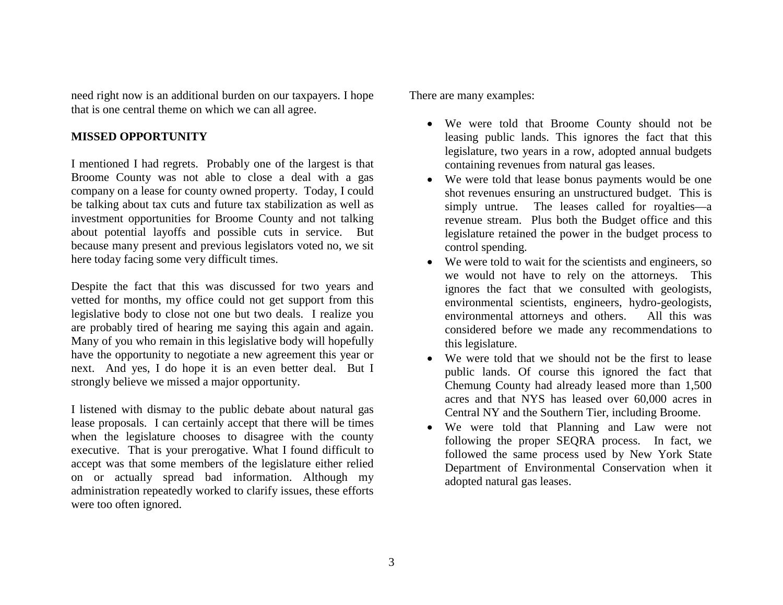need right now is an additional burden on our taxpayers. I hope that is one central theme on which we can all agree.

## **MISSED OPPORTUNITY**

I mentioned I had regrets. Probably one of the largest is that Broome County was not able to close a deal with a gas company on a lease for county owned property. Today, I could be talking about tax cuts and future tax stabilization as well as investment opportunities for Broome County and not talking about potential layoffs and possible cuts in service. But because many present and previous legislators voted no, we sit here today facing some very difficult times.

Despite the fact that this was discussed for two years and vetted for months, my office could not get support from this legislative body to close not one but two deals. I realize you are probably tired of hearing me saying this again and again. Many of you who remain in this legislative body will hopefully have the opportunity to negotiate a new agreement this year or next. And yes, I do hope it is an even better deal. But I strongly believe we missed a major opportunity.

I listened with dismay to the public debate about natural gas lease proposals. I can certainly accept that there will be times when the legislature chooses to disagree with the county executive. That is your prerogative. What I found difficult to accept was that some members of the legislature either relied on or actually spread bad information. Although my administration repeatedly worked to clarify issues, these efforts were too often ignored.

There are many examples:

- We were told that Broome County should not be leasing public lands. This ignores the fact that this legislature, two years in a row, adopted annual budgets containing revenues from natural gas leases.
- We were told that lease bonus payments would be one shot revenues ensuring an unstructured budget. This is simply untrue. The leases called for royalties—a revenue stream. Plus both the Budget office and this legislature retained the power in the budget process to control spending.
- We were told to wait for the scientists and engineers, so we would not have to rely on the attorneys. This ignores the fact that we consulted with geologists, environmental scientists, engineers, hydro-geologists, environmental attorneys and others. All this was considered before we made any recommendations to this legislature.
- We were told that we should not be the first to lease public lands. Of course this ignored the fact that Chemung County had already leased more than 1,500 acres and that NYS has leased over 60,000 acres in Central NY and the Southern Tier, including Broome.
- We were told that Planning and Law were not following the proper SEQRA process. In fact, we followed the same process used by New York State Department of Environmental Conservation when it adopted natural gas leases.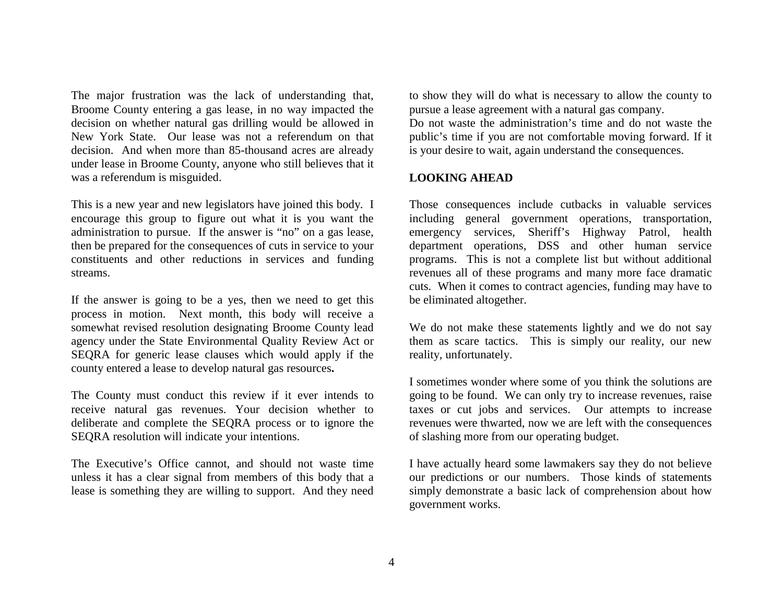The major frustration was the lack of understanding that, Broome County entering a gas lease, in no way impacted the decision on whether natural gas drilling would be allowed in New York State. Our lease was not a referendum on that decision. And when more than 85-thousand acres are already under lease in Broome County, anyone who still believes that it was a referendum is misguided.

This is a new year and new legislators have joined this body. I encourage this group to figure out what it is you want the administration to pursue. If the answer is "no" on a gas lease, then be prepared for the consequences of cuts in service to your constituents and other reductions in services and funding streams.

If the answer is going to be a yes, then we need to get this process in motion. Next month, this body will receive a somewhat revised resolution designating Broome County lead agency under the State Environmental Quality Review Act or SEQRA for generic lease clauses which would apply if the county entered a lease to develop natural gas resources**.** 

The County must conduct this review if it ever intends to receive natural gas revenues. Your decision whether to deliberate and complete the SEQRA process or to ignore the SEQRA resolution will indicate your intentions.

The Executive's Office cannot, and should not waste time unless it has a clear signal from members of this body that a lease is something they are willing to support. And they need to show they will do what is necessary to allow the county to pursue a lease agreement with a natural gas company.

Do not waste the administration's time and do not waste the public's time if you are not comfortable moving forward. If it is your desire to wait, again understand the consequences.

## **LOOKING AHEAD**

Those consequences include cutbacks in valuable services including general government operations, transportation, emergency services, Sheriff's Highway Patrol, health department operations, DSS and other human service programs. This is not a complete list but without additional revenues all of these programs and many more face dramatic cuts. When it comes to contract agencies, funding may have to be eliminated altogether.

We do not make these statements lightly and we do not say them as scare tactics. This is simply our reality, our new reality, unfortunately.

I sometimes wonder where some of you think the solutions are going to be found. We can only try to increase revenues, raise taxes or cut jobs and services. Our attempts to increase revenues were thwarted, now we are left with the consequences of slashing more from our operating budget.

I have actually heard some lawmakers say they do not believe our predictions or our numbers. Those kinds of statements simply demonstrate a basic lack of comprehension about how government works.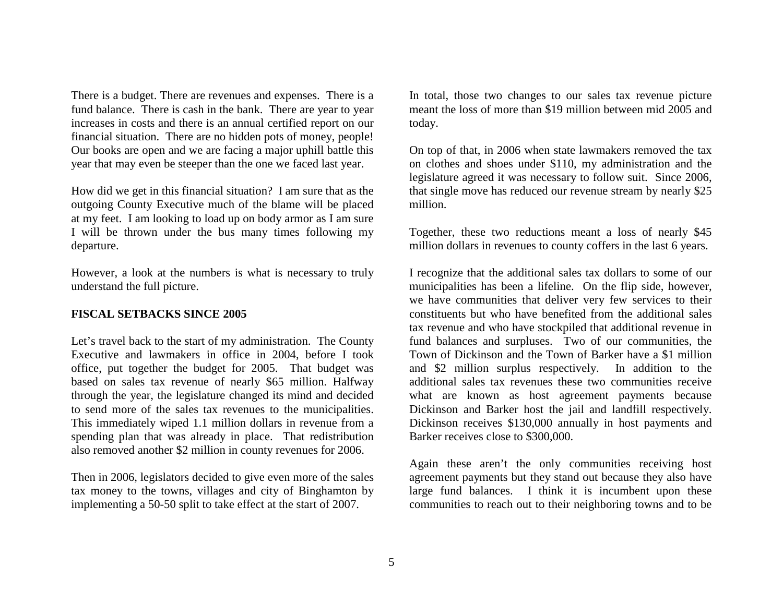There is a budget. There are revenues and expenses. There is a fund balance. There is cash in the bank. There are year to year increases in costs and there is an annual certified report on our financial situation. There are no hidden pots of money, people! Our books are open and we are facing a major uphill battle this year that may even be steeper than the one we faced last year.

How did we get in this financial situation? I am sure that as the outgoing County Executive much of the blame will be placed at my feet. I am looking to load up on body armor as I am sure I will be thrown under the bus many times following my departure.

However, a look at the numbers is what is necessary to truly understand the full picture.

## **FISCAL SETBACKS SINCE 2005**

Let's travel back to the start of my administration. The County Executive and lawmakers in office in 2004, before I took office, put together the budget for 2005. That budget was based on sales tax revenue of nearly \$65 million. Halfway through the year, the legislature changed its mind and decided to send more of the sales tax revenues to the municipalities. This immediately wiped 1.1 million dollars in revenue from a spending plan that was already in place. That redistribution also removed another \$2 million in county revenues for 2006.

Then in 2006, legislators decided to give even more of the sales tax money to the towns, villages and city of Binghamton by implementing a 50-50 split to take effect at the start of 2007.

In total, those two changes to our sales tax revenue picture meant the loss of more than \$19 million between mid 2005 and today.

On top of that, in 2006 when state lawmakers removed the tax on clothes and shoes under \$110, my administration and the legislature agreed it was necessary to follow suit. Since 2006, that single move has reduced our revenue stream by nearly \$25 million.

Together, these two reductions meant a loss of nearly \$45 million dollars in revenues to county coffers in the last 6 years.

I recognize that the additional sales tax dollars to some of our municipalities has been a lifeline. On the flip side, however, we have communities that deliver very few services to their constituents but who have benefited from the additional sales tax revenue and who have stockpiled that additional revenue in fund balances and surpluses. Two of our communities, the Town of Dickinson and the Town of Barker have a \$1 million and \$2 million surplus respectively. In addition to the additional sales tax revenues these two communities receive what are known as host agreement payments because Dickinson and Barker host the jail and landfill respectively. Dickinson receives \$130,000 annually in host payments and Barker receives close to \$300,000.

Again these aren't the only communities receiving host agreement payments but they stand out because they also have large fund balances. I think it is incumbent upon these communities to reach out to their neighboring towns and to be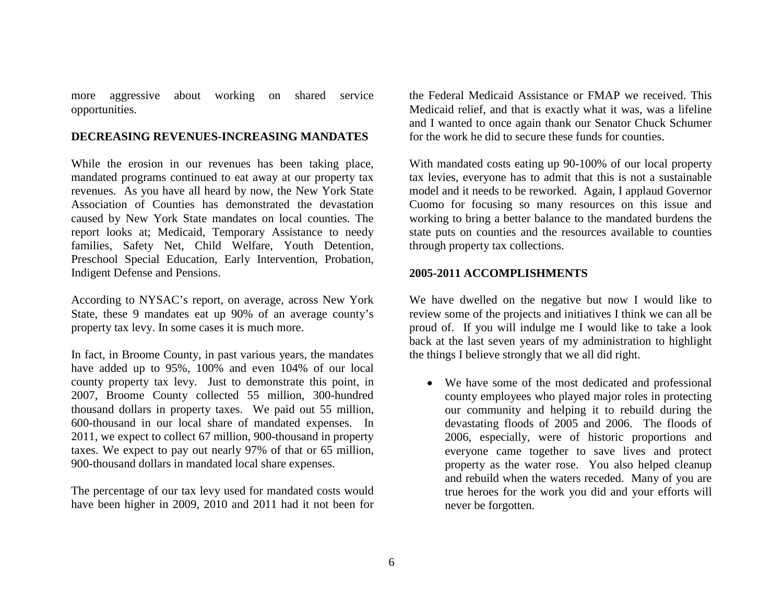more aggressive about working on shared service opportunities.

#### **DECREASING REVENUES-INCREASING MANDATES**

While the erosion in our revenues has been taking place, mandated programs continued to eat away at our property tax revenues. As you have all heard by now, the New York State Association of Counties has demonstrated the devastation caused by New York State mandates on local counties. The report looks at; Medicaid, Temporary Assistance to needy families, Safety Net, Child Welfare, Youth Detention, Preschool Special Education, Early Intervention, Probation, Indigent Defense and Pensions.

According to NYSAC's report, on average, across New York State, these 9 mandates eat up 90% of an average county's property tax levy. In some cases it is much more.

In fact, in Broome County, in past various years, the mandates have added up to 95%, 100% and even 104% of our local county property tax levy. Just to demonstrate this point, in 2007, Broome County collected 55 million, 300-hundred thousand dollars in property taxes. We paid out 55 million, 600-thousand in our local share of mandated expenses. In 2011, we expect to collect 67 million, 900-thousand in property taxes. We expect to pay out nearly 97% of that or 65 million, 900-thousand dollars in mandated local share expenses.

The percentage of our tax levy used for mandated costs would have been higher in 2009, 2010 and 2011 had it not been for

the Federal Medicaid Assistance or FMAP we received. This Medicaid relief, and that is exactly what it was, was a lifeline and I wanted to once again thank our Senator Chuck Schumer for the work he did to secure these funds for counties.

With mandated costs eating up 90-100% of our local property tax levies, everyone has to admit that this is not a sustainable model and it needs to be reworked. Again, I applaud Governor Cuomo for focusing so many resources on this issue and working to bring a better balance to the mandated burdens the state puts on counties and the resources available to counties through property tax collections.

#### **2005-2011 ACCOMPLISHMENTS**

We have dwelled on the negative but now I would like to review some of the projects and initiatives I think we can all be proud of. If you will indulge me I would like to take a look back at the last seven years of my administration to highlight the things I believe strongly that we all did right.

 We have some of the most dedicated and professional county employees who played major roles in protecting our community and helping it to rebuild during the devastating floods of 2005 and 2006. The floods of 2006, especially, were of historic proportions and everyone came together to save lives and protect property as the water rose. You also helped cleanup and rebuild when the waters receded. Many of you are true heroes for the work you did and your efforts will never be forgotten.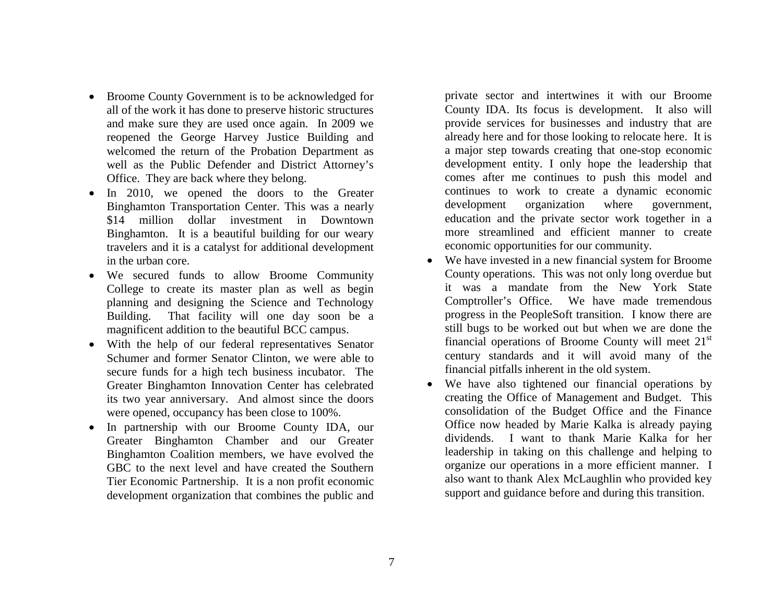- Broome County Government is to be acknowledged for all of the work it has done to preserve historic structures and make sure they are used once again. In 2009 we reopened the George Harvey Justice Building and welcomed the return of the Probation Department as well as the Public Defender and District Attorney's Office. They are back where they belong.
- In 2010, we opened the doors to the Greater Binghamton Transportation Center. This was a nearly \$14 million dollar investment in Downtown Binghamton. It is a beautiful building for our weary travelers and it is a catalyst for additional development in the urban core.
- We secured funds to allow Broome Community College to create its master plan as well as begin planning and designing the Science and Technology Building. That facility will one day soon be a magnificent addition to the beautiful BCC campus.
- With the help of our federal representatives Senator Schumer and former Senator Clinton, we were able to secure funds for a high tech business incubator. The Greater Binghamton Innovation Center has celebrated its two year anniversary. And almost since the doors were opened, occupancy has been close to 100%.
- In partnership with our Broome County IDA, our Greater Binghamton Chamber and our Greater Binghamton Coalition members, we have evolved the GBC to the next level and have created the Southern Tier Economic Partnership. It is a non profit economic development organization that combines the public and

private sector and intertwines it with our Broome County IDA. Its focus is development. It also will provide services for businesses and industry that are already here and for those looking to relocate here. It is a major step towards creating that one-stop economic development entity. I only hope the leadership that comes after me continues to push this model and continues to work to create a dynamic economic development organization where government, education and the private sector work together in a more streamlined and efficient manner to create economic opportunities for our community.

- We have invested in a new financial system for Broome County operations. This was not only long overdue but it was a mandate from the New York State Comptroller's Office. We have made tremendous progress in the PeopleSoft transition. I know there are still bugs to be worked out but when we are done the financial operations of Broome County will meet 21st century standards and it will avoid many of the financial pitfalls inherent in the old system.
- We have also tightened our financial operations by creating the Office of Management and Budget. This consolidation of the Budget Office and the Finance Office now headed by Marie Kalka is already paying dividends. I want to thank Marie Kalka for her leadership in taking on this challenge and helping to organize our operations in a more efficient manner. I also want to thank Alex McLaughlin who provided key support and guidance before and during this transition.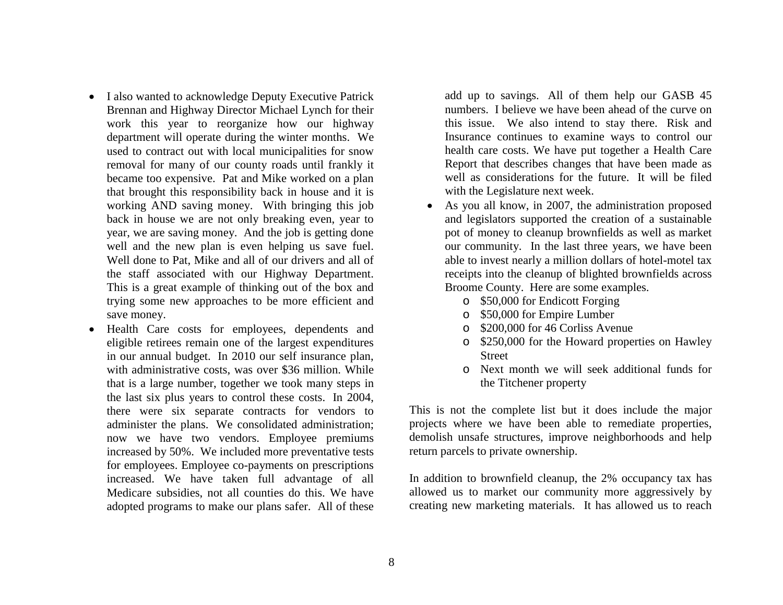- I also wanted to acknowledge Deputy Executive Patrick Brennan and Highway Director Michael Lynch for their work this year to reorganize how our highway department will operate during the winter months. We used to contract out with local municipalities for snow removal for many of our county roads until frankly it became too expensive. Pat and Mike worked on a plan that brought this responsibility back in house and it is working AND saving money. With bringing this job back in house we are not only breaking even, year to year, we are saving money. And the job is getting done well and the new plan is even helping us save fuel. Well done to Pat, Mike and all of our drivers and all of the staff associated with our Highway Department. This is a great example of thinking out of the box and trying some new approaches to be more efficient and save money.
- Health Care costs for employees, dependents and eligible retirees remain one of the largest expenditures in our annual budget. In 2010 our self insurance plan, with administrative costs, was over \$36 million. While that is a large number, together we took many steps in the last six plus years to control these costs. In 2004, there were six separate contracts for vendors to administer the plans. We consolidated administration; now we have two vendors. Employee premiums increased by 50%. We included more preventative tests for employees. Employee co-payments on prescriptions increased. We have taken full advantage of all Medicare subsidies, not all counties do this. We have adopted programs to make our plans safer. All of these

add up to savings. All of them help our GASB 45 numbers. I believe we have been ahead of the curve on this issue. We also intend to stay there. Risk and Insurance continues to examine ways to control our health care costs. We have put together a Health Care Report that describes changes that have been made as well as considerations for the future. It will be filed with the Legislature next week.

- As you all know, in 2007, the administration proposed and legislators supported the creation of a sustainable pot of money to cleanup brownfields as well as market our community. In the last three years, we have been able to invest nearly a million dollars of hotel-motel tax receipts into the cleanup of blighted brownfields across Broome County. Here are some examples.
	- o \$50,000 for Endicott Forging
	- o \$50,000 for Empire Lumber
	- o \$200,000 for 46 Corliss Avenue
	- o \$250,000 for the Howard properties on Hawley **Street**
	- o Next month we will seek additional funds for the Titchener property

This is not the complete list but it does include the major projects where we have been able to remediate properties, demolish unsafe structures, improve neighborhoods and help return parcels to private ownership.

In addition to brownfield cleanup, the 2% occupancy tax has allowed us to market our community more aggressively by creating new marketing materials. It has allowed us to reach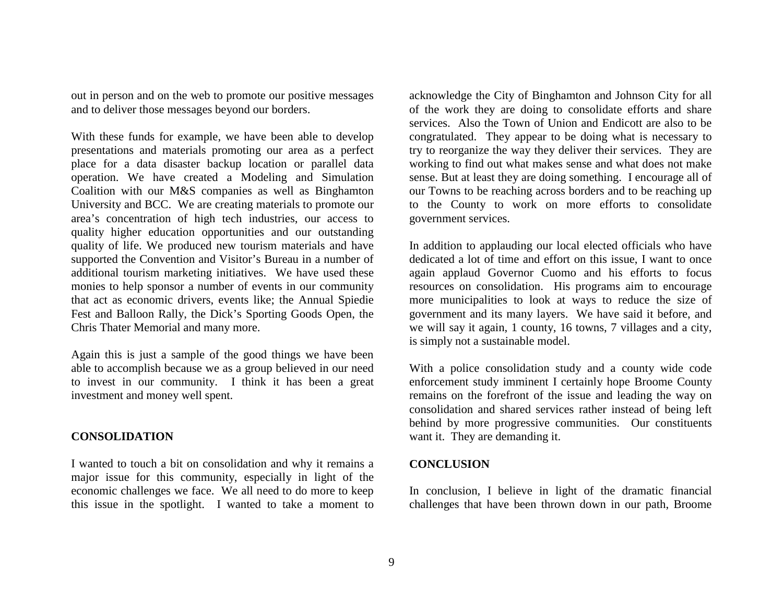out in person and on the web to promote our positive messages and to deliver those messages beyond our borders.

With these funds for example, we have been able to develop presentations and materials promoting our area as a perfect place for a data disaster backup location or parallel data operation. We have created a Modeling and Simulation Coalition with our M&S companies as well as Binghamton University and BCC. We are creating materials to promote our area's concentration of high tech industries, our access to quality higher education opportunities and our outstanding quality of life. We produced new tourism materials and have supported the Convention and Visitor's Bureau in a number of additional tourism marketing initiatives. We have used these monies to help sponsor a number of events in our community that act as economic drivers, events like; the Annual Spiedie Fest and Balloon Rally, the Dick's Sporting Goods Open, the Chris Thater Memorial and many more.

Again this is just a sample of the good things we have been able to accomplish because we as a group believed in our need to invest in our community. I think it has been a great investment and money well spent.

## **CONSOLIDATION**

I wanted to touch a bit on consolidation and why it remains a major issue for this community, especially in light of the economic challenges we face. We all need to do more to keep this issue in the spotlight. I wanted to take a moment to

acknowledge the City of Binghamton and Johnson City for all of the work they are doing to consolidate efforts and share services. Also the Town of Union and Endicott are also to be congratulated. They appear to be doing what is necessary to try to reorganize the way they deliver their services. They are working to find out what makes sense and what does not make sense. But at least they are doing something. I encourage all of our Towns to be reaching across borders and to be reaching up to the County to work on more efforts to consolidate government services.

In addition to applauding our local elected officials who have dedicated a lot of time and effort on this issue, I want to once again applaud Governor Cuomo and his efforts to focus resources on consolidation. His programs aim to encourage more municipalities to look at ways to reduce the size of government and its many layers. We have said it before, and we will say it again, 1 county, 16 towns, 7 villages and a city, is simply not a sustainable model.

With a police consolidation study and a county wide code enforcement study imminent I certainly hope Broome County remains on the forefront of the issue and leading the way on consolidation and shared services rather instead of being left behind by more progressive communities. Our constituents want it. They are demanding it.

#### **CONCLUSION**

In conclusion, I believe in light of the dramatic financial challenges that have been thrown down in our path, Broome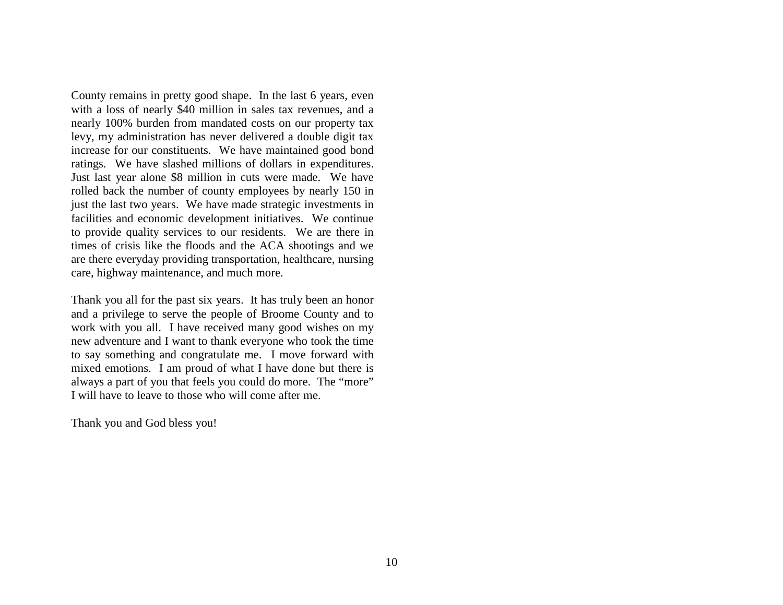County remains in pretty good shape. In the last 6 years, even with a loss of nearly \$40 million in sales tax revenues, and a nearly 100% burden from mandated costs on our property tax levy, my administration has never delivered a double digit tax increase for our constituents. We have maintained good bond ratings. We have slashed millions of dollars in expenditures. Just last year alone \$8 million in cuts were made. We have rolled back the number of county employees by nearly 150 in just the last two years. We have made strategic investments in facilities and economic development initiatives. We continue to provide quality services to our residents. We are there in times of crisis like the floods and the ACA shootings and we are there everyday providing transportation, healthcare, nursing care, highway maintenance, and much more.

Thank you all for the past six years. It has truly been an honor and a privilege to serve the people of Broome County and to work with you all. I have received many good wishes on my new adventure and I want to thank everyone who took the time to say something and congratulate me. I move forward with mixed emotions. I am proud of what I have done but there is always a part of you that feels you could do more. The "more" I will have to leave to those who will come after me.

Thank you and God bless you!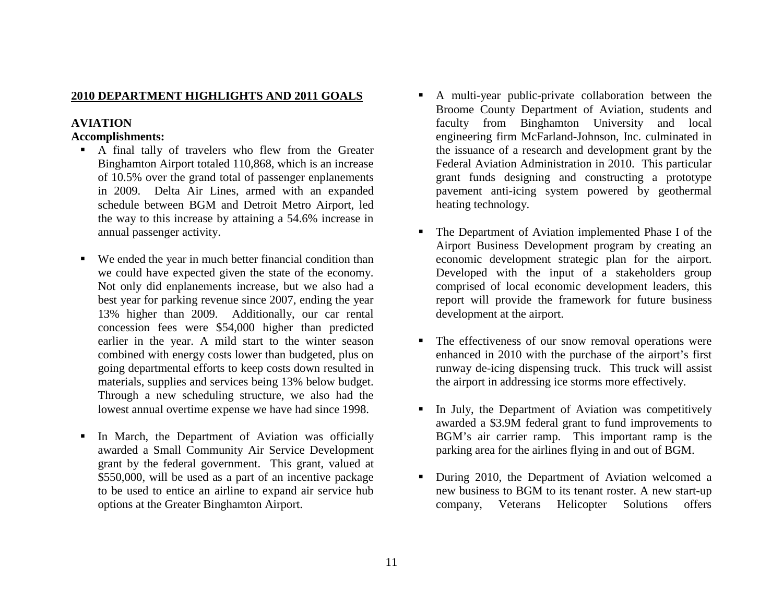## **2010 DEPARTMENT HIGHLIGHTS AND 2011 GOALS**

# **AVIATION**

### **Accomplishments:**

- A final tally of travelers who flew from the Greater Binghamton Airport totaled 110,868, which is an increase of 10.5% over the grand total of passenger enplanements in 2009. Delta Air Lines, armed with an expanded schedule between BGM and Detroit Metro Airport, led the way to this increase by attaining a 54.6% increase in annual passenger activity.
- We ended the year in much better financial condition than we could have expected given the state of the economy. Not only did enplanements increase, but we also had a best year for parking revenue since 2007, ending the year 13% higher than 2009. Additionally, our car rental concession fees were \$54,000 higher than predicted earlier in the year. A mild start to the winter season combined with energy costs lower than budgeted, plus on going departmental efforts to keep costs down resulted in materials, supplies and services being 13% below budget. Through a new scheduling structure, we also had the lowest annual overtime expense we have had since 1998.
- $\blacksquare$  In March, the Department of Aviation was officially awarded a Small Community Air Service Development grant by the federal government. This grant, valued at \$550,000, will be used as a part of an incentive package to be used to entice an airline to expand air service hub options at the Greater Binghamton Airport.
- A multi-year public-private collaboration between the Broome County Department of Aviation, students and faculty from Binghamton University and local engineering firm McFarland-Johnson, Inc. culminated in the issuance of a research and development grant by the Federal Aviation Administration in 2010. This particular grant funds designing and constructing a prototype pavement anti-icing system powered by geothermal heating technology.
- Г The Department of Aviation implemented Phase I of the Airport Business Development program by creating an economic development strategic plan for the airport. Developed with the input of a stakeholders group comprised of local economic development leaders, this report will provide the framework for future business development at the airport.
- The effectiveness of our snow removal operations were enhanced in 2010 with the purchase of the airport's first runway de-icing dispensing truck. This truck will assist the airport in addressing ice storms more effectively.
- $\blacksquare$  In July, the Department of Aviation was competitively awarded a \$3.9M federal grant to fund improvements to BGM's air carrier ramp. This important ramp is the parking area for the airlines flying in and out of BGM.
- **During 2010, the Department of Aviation welcomed a** new business to BGM to its tenant roster. A new start-up company, Veterans Helicopter Solutions offers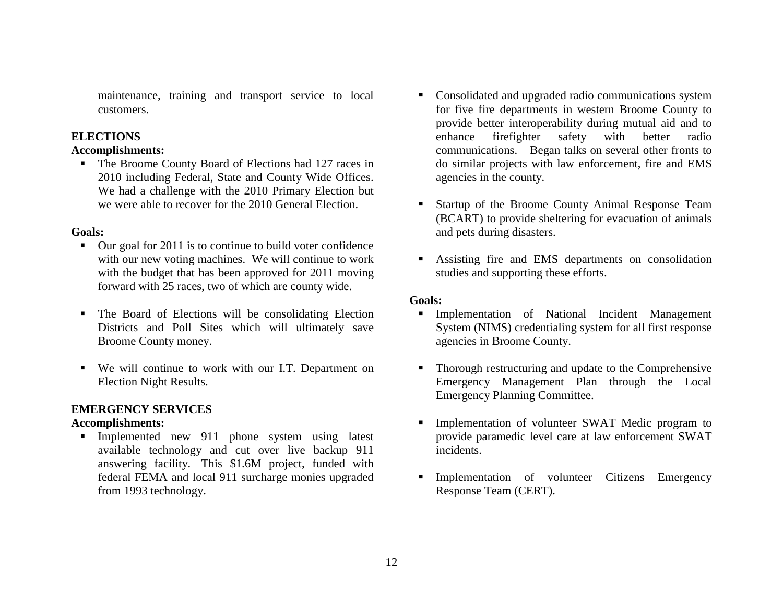maintenance, training and transport service to local customers.

# **ELECTIONS**

## **Accomplishments:**

• The Broome County Board of Elections had 127 races in 2010 including Federal, State and County Wide Offices. We had a challenge with the 2010 Primary Election but we were able to recover for the 2010 General Election.

## **Goals:**

- Our goal for 2011 is to continue to build voter confidence with our new voting machines. We will continue to work with the budget that has been approved for 2011 moving forward with 25 races, two of which are county wide.
- The Board of Elections will be consolidating Election Districts and Poll Sites which will ultimately save Broome County money.
- We will continue to work with our I.T. Department on Election Night Results.

# **EMERGENCY SERVICES**

# **Accomplishments:**

**Implemented new 911 phone system using latest** available technology and cut over live backup 911 answering facility. This \$1.6M project, funded with federal FEMA and local 911 surcharge monies upgraded from 1993 technology.

- Consolidated and upgraded radio communications system for five fire departments in western Broome County to provide better interoperability during mutual aid and to enhance firefighter safety with better radio communications. Began talks on several other fronts to do similar projects with law enforcement, fire and EMS agencies in the county.
- Г Startup of the Broome County Animal Response Team (BCART) to provide sheltering for evacuation of animals and pets during disasters.
- Assisting fire and EMS departments on consolidation studies and supporting these efforts.

# **Goals:**

- **Implementation of National Incident Management** System (NIMS) credentialing system for all first response agencies in Broome County.
- $\blacksquare$  Thorough restructuring and update to the Comprehensive Emergency Management Plan through the Local Emergency Planning Committee.
- $\blacksquare$  Implementation of volunteer SWAT Medic program to provide paramedic level care at law enforcement SWAT incidents.
- Г Implementation of volunteer Citizens Emergency Response Team (CERT).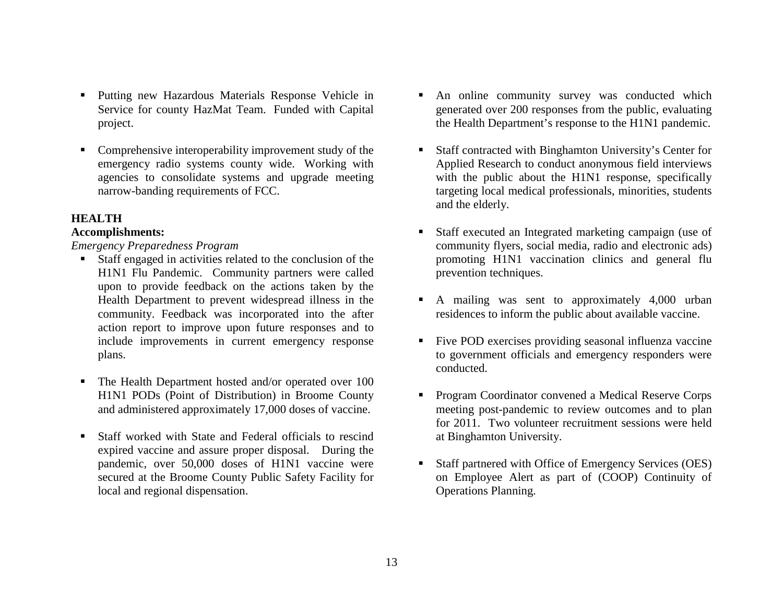- **Putting new Hazardous Materials Response Vehicle in** Service for county HazMat Team. Funded with Capital project.
- Г Comprehensive interoperability improvement study of the emergency radio systems county wide. Working with agencies to consolidate systems and upgrade meeting narrow-banding requirements of FCC.

## **HEALTH**

## **Accomplishments:**

*Emergency Preparedness Program* 

- Staff engaged in activities related to the conclusion of the H1N1 Flu Pandemic. Community partners were called upon to provide feedback on the actions taken by the Health Department to prevent widespread illness in the community. Feedback was incorporated into the after action report to improve upon future responses and to include improvements in current emergency response plans.
- The Health Department hosted and/or operated over 100 H1N1 PODs (Point of Distribution) in Broome County and administered approximately 17,000 doses of vaccine.
- $\blacksquare$  Staff worked with State and Federal officials to rescind expired vaccine and assure proper disposal. During the pandemic, over 50,000 doses of H1N1 vaccine were secured at the Broome County Public Safety Facility for local and regional dispensation.
- An online community survey was conducted which generated over 200 responses from the public, evaluating the Health Department's response to the H1N1 pandemic.
- Staff contracted with Binghamton University's Center for Applied Research to conduct anonymous field interviews with the public about the H1N1 response, specifically targeting local medical professionals, minorities, students and the elderly.
- $\blacksquare$  Staff executed an Integrated marketing campaign (use of community flyers, social media, radio and electronic ads) promoting H1N1 vaccination clinics and general flu prevention techniques.
- A mailing was sent to approximately 4,000 urban residences to inform the public about available vaccine.
- Five POD exercises providing seasonal influenza vaccine to government officials and emergency responders were conducted.
- Г Program Coordinator convened a Medical Reserve Corps meeting post-pandemic to review outcomes and to plan for 2011. Two volunteer recruitment sessions were held at Binghamton University.
- $\blacksquare$  Staff partnered with Office of Emergency Services (OES) on Employee Alert as part of (COOP) Continuity of Operations Planning.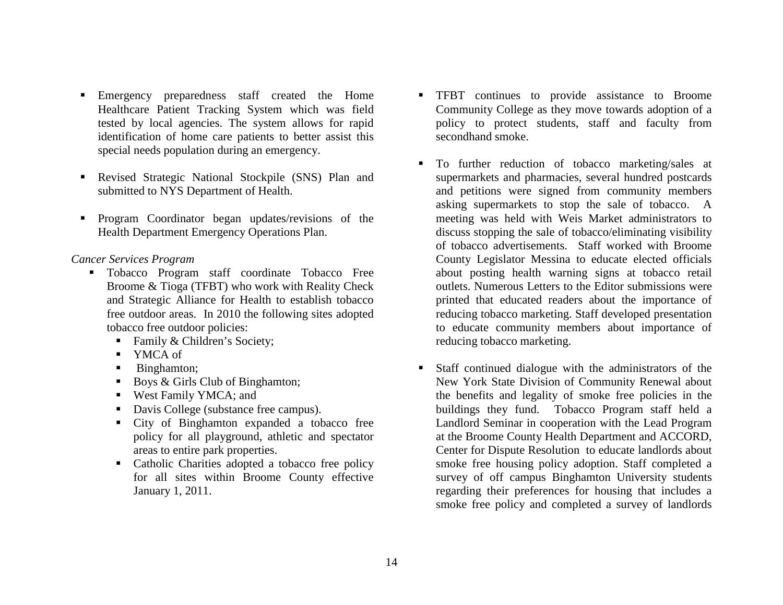- Emergency preparedness staff created the Home Healthcare Patient Tracking System which was field tested by local agencies. The system allows for rapid identification of home care patients to better assist this special needs population during an emergency.
- $\blacksquare$  Revised Strategic National Stockpile (SNS) Plan and submitted to NYS Department of Health.
- **Program Coordinator began updates/revisions of the** Health Department Emergency Operations Plan.

## *Cancer Services Program*

- Tobacco Program staff coordinate Tobacco Free Broome & Tioga (TFBT) who work with Reality Check and Strategic Alliance for Health to establish tobacco free outdoor areas. In 2010 the following sites adopted tobacco free outdoor policies:
	- Family & Children's Society;
	- YMCA of
	- Binghamton;
	- Boys & Girls Club of Binghamton;
	- West Family YMCA; and
	- Davis College (substance free campus).
	- City of Binghamton expanded a tobacco free policy for all playground, athletic and spectator areas to entire park properties.
	- Catholic Charities adopted a tobacco free policy for all sites within Broome County effective January 1, 2011.
- **TFBT** continues to provide assistance to Broome Community College as they move towards adoption of a policy to protect students, staff and faculty from secondhand smoke.
- Г To further reduction of tobacco marketing/sales at supermarkets and pharmacies, several hundred postcards and petitions were signed from community members asking supermarkets to stop the sale of tobacco. A meeting was held with Weis Market administrators to discuss stopping the sale of tobacco/eliminating visibility of tobacco advertisements. Staff worked with Broome County Legislator Messina to educate elected officials about posting health warning signs at tobacco retail outlets. Numerous Letters to the Editor submissions were printed that educated readers about the importance of reducing tobacco marketing. Staff developed presentation to educate community members about importance of reducing tobacco marketing.
- $\blacksquare$  Staff continued dialogue with the administrators of the New York State Division of Community Renewal about the benefits and legality of smoke free policies in the buildings they fund. Tobacco Program staff held a Landlord Seminar in cooperation with the Lead Program at the Broome County Health Department and ACCORD, Center for Dispute Resolution to educate landlords about smoke free housing policy adoption. Staff completed a survey of off campus Binghamton University students regarding their preferences for housing that includes a smoke free policy and completed a survey of landlords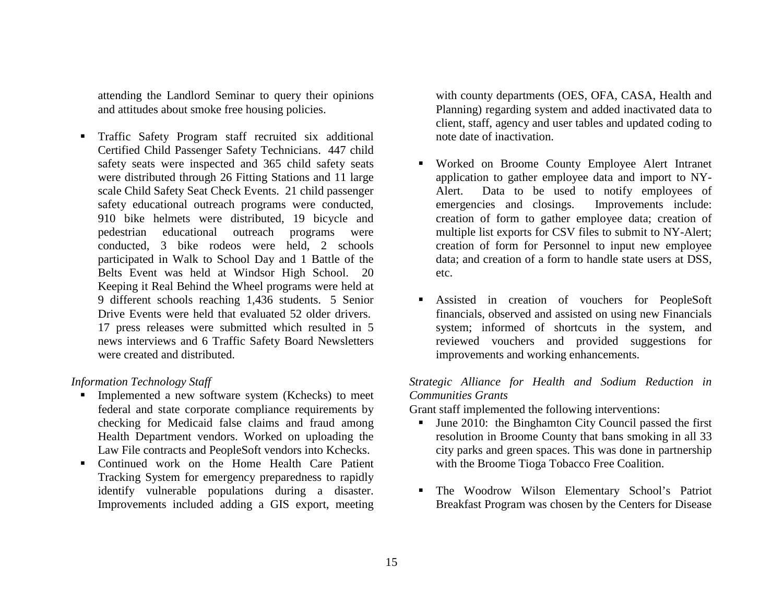attending the Landlord Seminar to query their opinions and attitudes about smoke free housing policies.

 $\blacksquare$  Traffic Safety Program staff recruited six additional Certified Child Passenger Safety Technicians. 447 child safety seats were inspected and 365 child safety seats were distributed through 26 Fitting Stations and 11 large scale Child Safety Seat Check Events. 21 child passenger safety educational outreach programs were conducted, 910 bike helmets were distributed, 19 bicycle and pedestrian educational outreach programs were conducted, 3 bike rodeos were held, 2 schools participated in Walk to School Day and 1 Battle of the Belts Event was held at Windsor High School. 20 Keeping it Real Behind the Wheel programs were held at 9 different schools reaching 1,436 students. 5 Senior Drive Events were held that evaluated 52 older drivers. 17 press releases were submitted which resulted in 5 news interviews and 6 Traffic Safety Board Newsletters were created and distributed.

#### *Information Technology Staff*

- **Implemented a new software system (Kchecks) to meet** federal and state corporate compliance requirements by checking for Medicaid false claims and fraud among Health Department vendors. Worked on uploading the Law File contracts and PeopleSoft vendors into Kchecks.
- Continued work on the Home Health Care Patient Tracking System for emergency preparedness to rapidly identify vulnerable populations during a disaster. Improvements included adding a GIS export, meeting

with county departments (OES, OFA, CASA, Health and Planning) regarding system and added inactivated data to client, staff, agency and user tables and updated coding to note date of inactivation.

- Worked on Broome County Employee Alert Intranet application to gather employee data and import to NY-Alert. Data to be used to notify employees of emergencies and closings. Improvements include: creation of form to gather employee data; creation of multiple list exports for CSV files to submit to NY-Alert; creation of form for Personnel to input new employee data; and creation of a form to handle state users at DSS, etc.
- Assisted in creation of vouchers for PeopleSoft financials, observed and assisted on using new Financials system; informed of shortcuts in the system, and reviewed vouchers and provided suggestions for improvements and working enhancements.

## *Strategic Alliance for Health and Sodium Reduction in Communities Grants*

Grant staff implemented the following interventions:

- $\mathbf{u}$  June 2010: the Binghamton City Council passed the first resolution in Broome County that bans smoking in all 33 city parks and green spaces. This was done in partnership with the Broome Tioga Tobacco Free Coalition.
- The Woodrow Wilson Elementary School's Patriot Breakfast Program was chosen by the Centers for Disease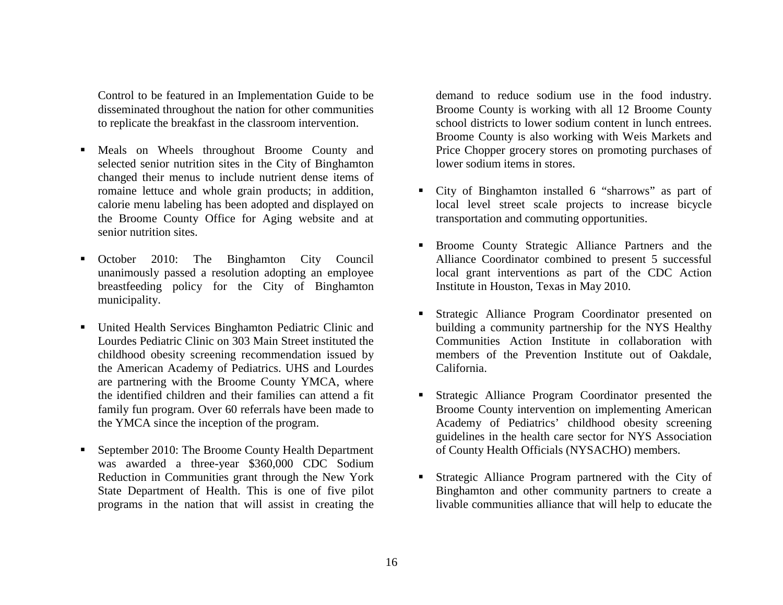Control to be featured in an Implementation Guide to be disseminated throughout the nation for other communities to replicate the breakfast in the classroom intervention.

- ٠ Meals on Wheels throughout Broome County and selected senior nutrition sites in the City of Binghamton changed their menus to include nutrient dense items of romaine lettuce and whole grain products; in addition, calorie menu labeling has been adopted and displayed on the Broome County Office for Aging website and at senior nutrition sites.
- Г October 2010: The Binghamton City Council unanimously passed a resolution adopting an employee breastfeeding policy for the City of Binghamton municipality.
- ٠ United Health Services Binghamton Pediatric Clinic and Lourdes Pediatric Clinic on 303 Main Street instituted the childhood obesity screening recommendation issued by the American Academy of Pediatrics. UHS and Lourdes are partnering with the Broome County YMCA, where the identified children and their families can attend a fit family fun program. Over 60 referrals have been made to the YMCA since the inception of the program.
- Г September 2010: The Broome County Health Department was awarded a three-year \$360,000 CDC Sodium Reduction in Communities grant through the New York State Department of Health. This is one of five pilot programs in the nation that will assist in creating the

demand to reduce sodium use in the food industry. Broome County is working with all 12 Broome County school districts to lower sodium content in lunch entrees. Broome County is also working with Weis Markets and Price Chopper grocery stores on promoting purchases of lower sodium items in stores.

- Г City of Binghamton installed 6 "sharrows" as part of local level street scale projects to increase bicycle transportation and commuting opportunities.
- **Broome County Strategic Alliance Partners and the** Alliance Coordinator combined to present 5 successful local grant interventions as part of the CDC Action Institute in Houston, Texas in May 2010.
- Г Strategic Alliance Program Coordinator presented on building a community partnership for the NYS Healthy Communities Action Institute in collaboration with members of the Prevention Institute out of Oakdale, California.
- Strategic Alliance Program Coordinator presented the Broome County intervention on implementing American Academy of Pediatrics' childhood obesity screening guidelines in the health care sector for NYS Association of County Health Officials (NYSACHO) members.
- Г Strategic Alliance Program partnered with the City of Binghamton and other community partners to create a livable communities alliance that will help to educate the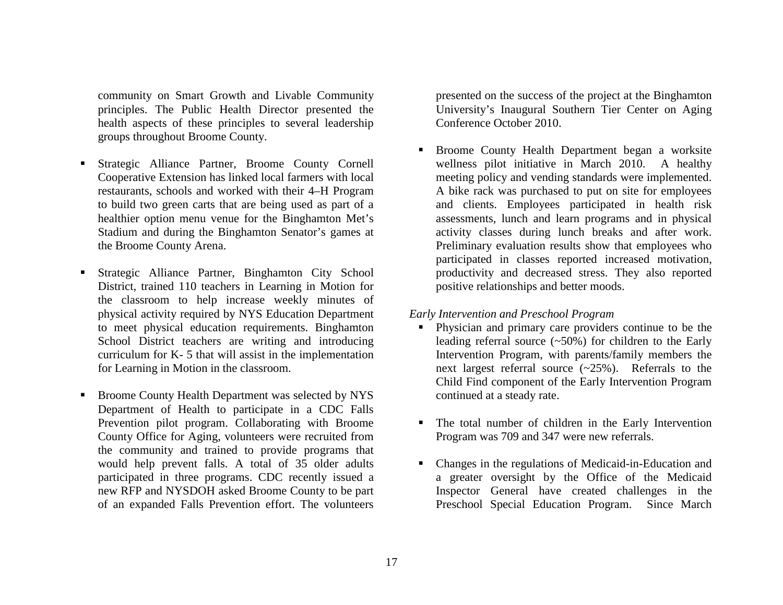community on Smart Growth and Livable Community principles. The Public Health Director presented the health aspects of these principles to several leadership groups throughout Broome County.

- Г Strategic Alliance Partner, Broome County Cornell Cooperative Extension has linked local farmers with local restaurants, schools and worked with their 4–H Program to build two green carts that are being used as part of a healthier option menu venue for the Binghamton Met's Stadium and during the Binghamton Senator's games at the Broome County Arena.
- Г Strategic Alliance Partner, Binghamton City School District, trained 110 teachers in Learning in Motion for the classroom to help increase weekly minutes of physical activity required by NYS Education Department to meet physical education requirements. Binghamton School District teachers are writing and introducing curriculum for K- 5 that will assist in the implementation for Learning in Motion in the classroom.
- Г Broome County Health Department was selected by NYS Department of Health to participate in a CDC Falls Prevention pilot program. Collaborating with Broome County Office for Aging, volunteers were recruited from the community and trained to provide programs that would help prevent falls. A total of 35 older adults participated in three programs. CDC recently issued a new RFP and NYSDOH asked Broome County to be part of an expanded Falls Prevention effort. The volunteers

presented on the success of the project at the Binghamton University's Inaugural Southern Tier Center on Aging Conference October 2010.

 $\blacksquare$  Broome County Health Department began a worksite wellness pilot initiative in March 2010. A healthy meeting policy and vending standards were implemented. A bike rack was purchased to put on site for employees and clients. Employees participated in health risk assessments, lunch and learn programs and in physical activity classes during lunch breaks and after work. Preliminary evaluation results show that employees who participated in classes reported increased motivation, productivity and decreased stress. They also reported positive relationships and better moods.

### *Early Intervention and Preschool Program*

- Physician and primary care providers continue to be the leading referral source (~50%) for children to the Early Intervention Program, with parents/family members the next largest referral source  $(-25%)$ . Referrals to the Child Find component of the Early Intervention Program continued at a steady rate.
- The total number of children in the Early Intervention Program was 709 and 347 were new referrals.
- Changes in the regulations of Medicaid-in-Education and a greater oversight by the Office of the Medicaid Inspector General have created challenges in the Preschool Special Education Program. Since March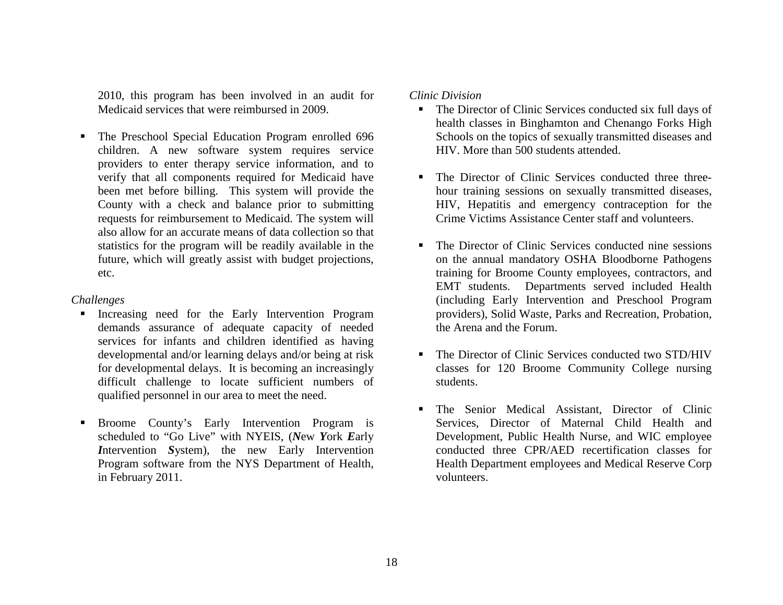2010, this program has been involved in an audit for Medicaid services that were reimbursed in 2009.

Г The Preschool Special Education Program enrolled 696 children. A new software system requires service providers to enter therapy service information, and to verify that all components required for Medicaid have been met before billing. This system will provide the County with a check and balance prior to submitting requests for reimbursement to Medicaid. The system will also allow for an accurate means of data collection so that statistics for the program will be readily available in the future, which will greatly assist with budget projections, etc.

#### *Challenges*

- **Increasing need for the Early Intervention Program** demands assurance of adequate capacity of needed services for infants and children identified as having developmental and/or learning delays and/or being at risk for developmental delays. It is becoming an increasingly difficult challenge to locate sufficient numbers of qualified personnel in our area to meet the need.
- $\blacksquare$  Broome County's Early Intervention Program is scheduled to "Go Live" with NYEIS, (*N*ew *Y*ork *E*arly *I*ntervention *S*ystem), the new Early Intervention Program software from the NYS Department of Health, in February 2011.

#### *Clinic Division*

- The Director of Clinic Services conducted six full days of health classes in Binghamton and Chenango Forks High Schools on the topics of sexually transmitted diseases and HIV. More than 500 students attended.
- The Director of Clinic Services conducted three threehour training sessions on sexually transmitted diseases, HIV, Hepatitis and emergency contraception for the Crime Victims Assistance Center staff and volunteers.
- The Director of Clinic Services conducted nine sessions on the annual mandatory OSHA Bloodborne Pathogens training for Broome County employees, contractors, and EMT students. Departments served included Health (including Early Intervention and Preschool Program providers), Solid Waste, Parks and Recreation, Probation, the Arena and the Forum.
- The Director of Clinic Services conducted two STD/HIV classes for 120 Broome Community College nursing students.
- Г The Senior Medical Assistant, Director of Clinic Services, Director of Maternal Child Health and Development, Public Health Nurse, and WIC employee conducted three CPR/AED recertification classes for Health Department employees and Medical Reserve Corp volunteers.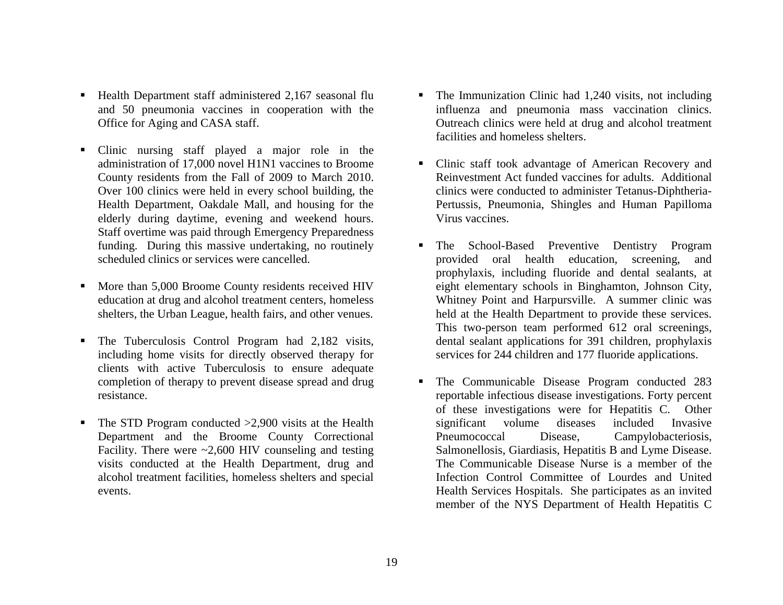- Health Department staff administered 2,167 seasonal flu and 50 pneumonia vaccines in cooperation with the Office for Aging and CASA staff.
- $\blacksquare$  Clinic nursing staff played a major role in the administration of 17,000 novel H1N1 vaccines to Broome County residents from the Fall of 2009 to March 2010. Over 100 clinics were held in every school building, the Health Department, Oakdale Mall, and housing for the elderly during daytime, evening and weekend hours. Staff overtime was paid through Emergency Preparedness funding. During this massive undertaking, no routinely scheduled clinics or services were cancelled.
- Г More than 5,000 Broome County residents received HIV education at drug and alcohol treatment centers, homeless shelters, the Urban League, health fairs, and other venues.
- Г The Tuberculosis Control Program had 2,182 visits, including home visits for directly observed therapy for clients with active Tuberculosis to ensure adequate completion of therapy to prevent disease spread and drug resistance.
- Г The STD Program conducted >2,900 visits at the Health Department and the Broome County Correctional Facility. There were  $\sim$  2,600 HIV counseling and testing visits conducted at the Health Department, drug and alcohol treatment facilities, homeless shelters and special events.
- Г The Immunization Clinic had 1,240 visits, not including influenza and pneumonia mass vaccination clinics. Outreach clinics were held at drug and alcohol treatment facilities and homeless shelters.
- Clinic staff took advantage of American Recovery and Reinvestment Act funded vaccines for adults. Additional clinics were conducted to administer Tetanus-Diphtheria-Pertussis, Pneumonia, Shingles and Human Papilloma Virus vaccines.
- Г The School-Based Preventive Dentistry Program provided oral health education, screening, and prophylaxis, including fluoride and dental sealants, at eight elementary schools in Binghamton, Johnson City, Whitney Point and Harpursville. A summer clinic was held at the Health Department to provide these services. This two-person team performed 612 oral screenings, dental sealant applications for 391 children, prophylaxis services for 244 children and 177 fluoride applications.
- Г The Communicable Disease Program conducted 283 reportable infectious disease investigations. Forty percent of these investigations were for Hepatitis C. Other significant volume diseases included Invasive Pneumococcal Disease, Campylobacteriosis, Salmonellosis, Giardiasis, Hepatitis B and Lyme Disease. The Communicable Disease Nurse is a member of the Infection Control Committee of Lourdes and United Health Services Hospitals. She participates as an invited member of the NYS Department of Health Hepatitis C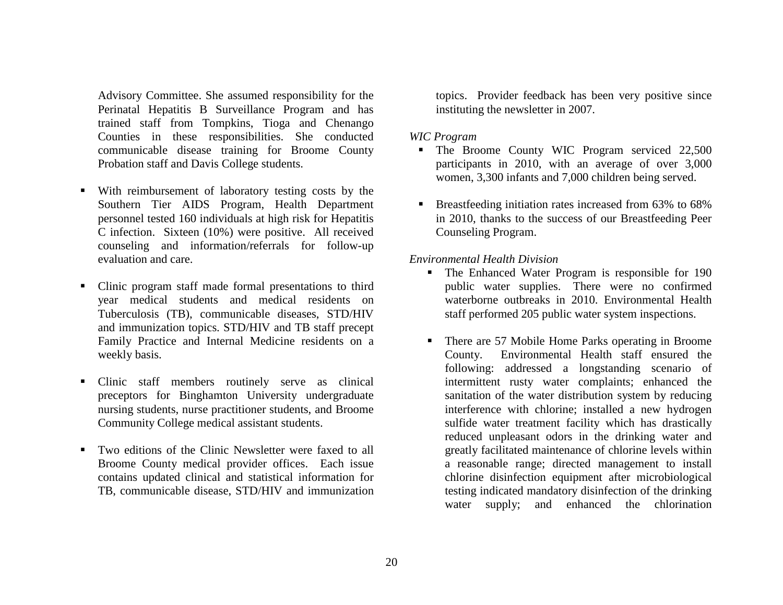Advisory Committee. She assumed responsibility for the Perinatal Hepatitis B Surveillance Program and has trained staff from Tompkins, Tioga and Chenango Counties in these responsibilities. She conducted communicable disease training for Broome County Probation staff and Davis College students.

- With reimbursement of laboratory testing costs by the Southern Tier AIDS Program, Health Department personnel tested 160 individuals at high risk for Hepatitis C infection. Sixteen (10%) were positive. All received counseling and information/referrals for follow-up evaluation and care.
- Clinic program staff made formal presentations to third year medical students and medical residents on Tuberculosis (TB), communicable diseases, STD/HIV and immunization topics. STD/HIV and TB staff precept Family Practice and Internal Medicine residents on a weekly basis.
- Г Clinic staff members routinely serve as clinical preceptors for Binghamton University undergraduate nursing students, nurse practitioner students, and Broome Community College medical assistant students.
- Г Two editions of the Clinic Newsletter were faxed to all Broome County medical provider offices. Each issue contains updated clinical and statistical information for TB, communicable disease, STD/HIV and immunization

topics. Provider feedback has been very positive since instituting the newsletter in 2007.

#### *WIC Program*

- **The Broome County WIC Program serviced 22,500** participants in 2010, with an average of over 3,000 women, 3,300 infants and 7,000 children being served.
- Breastfeeding initiation rates increased from 63% to 68% in 2010, thanks to the success of our Breastfeeding Peer Counseling Program.

#### *Environmental Health Division*

- $\mathbf{E}^{\text{max}}$  The Enhanced Water Program is responsible for 190 public water supplies. There were no confirmed waterborne outbreaks in 2010. Environmental Health staff performed 205 public water system inspections.
- Г There are 57 Mobile Home Parks operating in Broome County. Environmental Health staff ensured the following: addressed a longstanding scenario of intermittent rusty water complaints; enhanced the sanitation of the water distribution system by reducing interference with chlorine; installed a new hydrogen sulfide water treatment facility which has drastically reduced unpleasant odors in the drinking water and greatly facilitated maintenance of chlorine levels within a reasonable range; directed management to install chlorine disinfection equipment after microbiological testing indicated mandatory disinfection of the drinking water supply; and enhanced the chlorination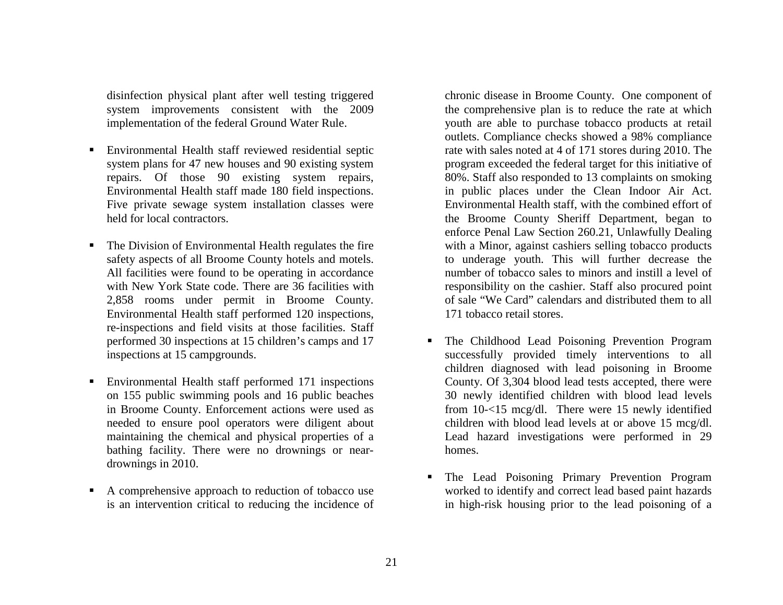disinfection physical plant after well testing triggered system improvements consistent with the 2009 implementation of the federal Ground Water Rule.

- $\blacksquare$  Environmental Health staff reviewed residential septic system plans for 47 new houses and 90 existing system repairs. Of those 90 existing system repairs, Environmental Health staff made 180 field inspections. Five private sewage system installation classes were held for local contractors.
- $\blacksquare$  The Division of Environmental Health regulates the fire safety aspects of all Broome County hotels and motels. All facilities were found to be operating in accordance with New York State code. There are 36 facilities with 2,858 rooms under permit in Broome County. Environmental Health staff performed 120 inspections, re-inspections and field visits at those facilities. Staff performed 30 inspections at 15 children's camps and 17 inspections at 15 campgrounds.
- $\blacksquare$  Environmental Health staff performed 171 inspections on 155 public swimming pools and 16 public beaches in Broome County. Enforcement actions were used as needed to ensure pool operators were diligent about maintaining the chemical and physical properties of a bathing facility. There were no drownings or neardrownings in 2010.
- $\blacksquare$  A comprehensive approach to reduction of tobacco use is an intervention critical to reducing the incidence of

chronic disease in Broome County. One component of the comprehensive plan is to reduce the rate at which youth are able to purchase tobacco products at retail outlets. Compliance checks showed a 98% compliance rate with sales noted at 4 of 171 stores during 2010. The program exceeded the federal target for this initiative of 80%. Staff also responded to 13 complaints on smoking in public places under the Clean Indoor Air Act. Environmental Health staff, with the combined effort of the Broome County Sheriff Department, began to enforce Penal Law Section 260.21, Unlawfully Dealing with a Minor, against cashiers selling tobacco products to underage youth. This will further decrease the number of tobacco sales to minors and instill a level of responsibility on the cashier. Staff also procured point of sale "We Card" calendars and distributed them to all 171 tobacco retail stores.

- Г The Childhood Lead Poisoning Prevention Program successfully provided timely interventions to all children diagnosed with lead poisoning in Broome County. Of 3,304 blood lead tests accepted, there were 30 newly identified children with blood lead levels from 10-<15 mcg/dl. There were 15 newly identified children with blood lead levels at or above 15 mcg/dl. Lead hazard investigations were performed in 29 homes.
- Г The Lead Poisoning Primary Prevention Program worked to identify and correct lead based paint hazards in high-risk housing prior to the lead poisoning of a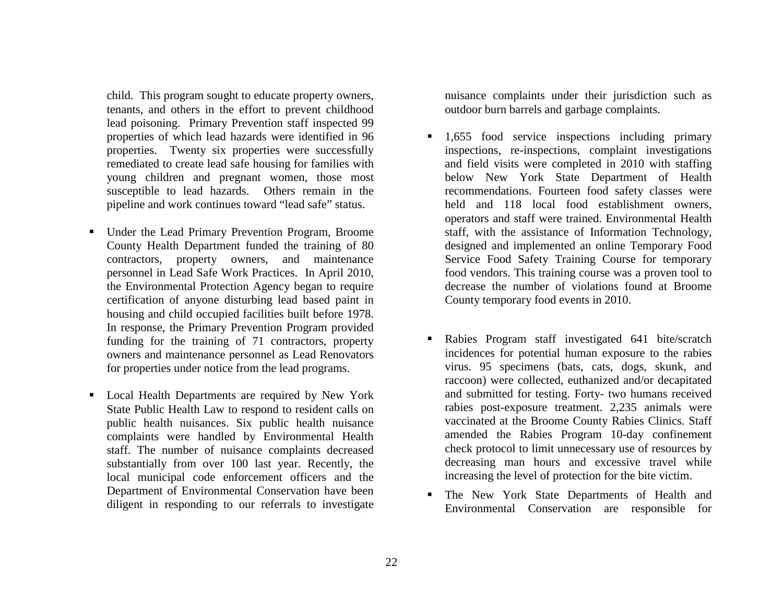child. This program sought to educate property owners, tenants, and others in the effort to prevent childhood lead poisoning. Primary Prevention staff inspected 99 properties of which lead hazards were identified in 96 properties. Twenty six properties were successfully remediated to create lead safe housing for families with young children and pregnant women, those most susceptible to lead hazards. Others remain in the pipeline and work continues toward "lead safe" status.

- $\blacksquare$  Under the Lead Primary Prevention Program, Broome County Health Department funded the training of 80 contractors, property owners, and maintenance personnel in Lead Safe Work Practices. In April 2010, the Environmental Protection Agency began to require certification of anyone disturbing lead based paint in housing and child occupied facilities built before 1978. In response, the Primary Prevention Program provided funding for the training of 71 contractors, property owners and maintenance personnel as Lead Renovators for properties under notice from the lead programs.
- Local Health Departments are required by New York State Public Health Law to respond to resident calls on public health nuisances. Six public health nuisance complaints were handled by Environmental Health staff. The number of nuisance complaints decreased substantially from over 100 last year. Recently, the local municipal code enforcement officers and the Department of Environmental Conservation have been diligent in responding to our referrals to investigate

nuisance complaints under their jurisdiction such as outdoor burn barrels and garbage complaints.

- Г 1,655 food service inspections including primary inspections, re-inspections, complaint investigations and field visits were completed in 2010 with staffing below New York State Department of Health recommendations. Fourteen food safety classes were held and 118 local food establishment owners, operators and staff were trained. Environmental Health staff, with the assistance of Information Technology, designed and implemented an online Temporary Food Service Food Safety Training Course for temporary food vendors. This training course was a proven tool to decrease the number of violations found at Broome County temporary food events in 2010.
- Г Rabies Program staff investigated 641 bite/scratch incidences for potential human exposure to the rabies virus. 95 specimens (bats, cats, dogs, skunk, and raccoon) were collected, euthanized and/or decapitated and submitted for testing. Forty- two humans received rabies post-exposure treatment. 2,235 animals were vaccinated at the Broome County Rabies Clinics. Staff amended the Rabies Program 10-day confinement check protocol to limit unnecessary use of resources by decreasing man hours and excessive travel while increasing the level of protection for the bite victim.
- Г The New York State Departments of Health and Environmental Conservation are responsible for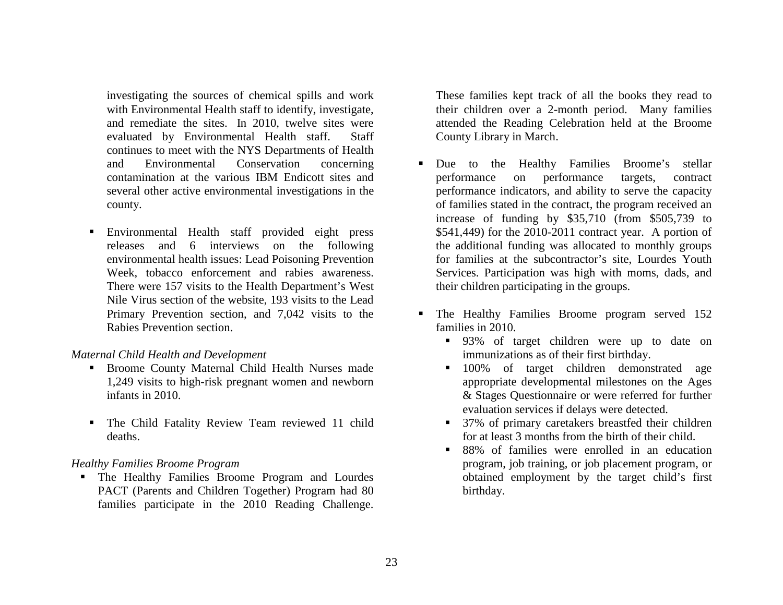investigating the sources of chemical spills and work with Environmental Health staff to identify, investigate, and remediate the sites. In 2010, twelve sites were evaluated by Environmental Health staff. Staff continues to meet with the NYS Departments of Health and Environmental Conservation concerning contamination at the various IBM Endicott sites and several other active environmental investigations in the county.

 Environmental Health staff provided eight press releases and 6 interviews on the following environmental health issues: Lead Poisoning Prevention Week, tobacco enforcement and rabies awareness. There were 157 visits to the Health Department's West Nile Virus section of the website, 193 visits to the Lead Primary Prevention section, and 7,042 visits to the Rabies Prevention section.

#### *Maternal Child Health and Development*

- Broome County Maternal Child Health Nurses made 1,249 visits to high-risk pregnant women and newborn infants in 2010.
- The Child Fatality Review Team reviewed 11 child deaths.

#### *Healthy Families Broome Program*

 The Healthy Families Broome Program and Lourdes PACT (Parents and Children Together) Program had 80 families participate in the 2010 Reading Challenge.

These families kept track of all the books they read to their children over a 2-month period. Many families attended the Reading Celebration held at the Broome County Library in March.

- Г Due to the Healthy Families Broome's stellar performance on performance targets, contract performance indicators, and ability to serve the capacity of families stated in the contract, the program received an increase of funding by \$35,710 (from \$505,739 to \$541,449) for the 2010-2011 contract year. A portion of the additional funding was allocated to monthly groups for families at the subcontractor's site, Lourdes Youth Services. Participation was high with moms, dads, and their children participating in the groups.
- The Healthy Families Broome program served 152 families in 2010.
	- 93% of target children were up to date on immunizations as of their first birthday.
	- **100%** of target children demonstrated age appropriate developmental milestones on the Ages & Stages Questionnaire or were referred for further evaluation services if delays were detected.
	- 37% of primary caretakers breastfed their children for at least 3 months from the birth of their child.
	- 88% of families were enrolled in an education program, job training, or job placement program, or obtained employment by the target child's first birthday.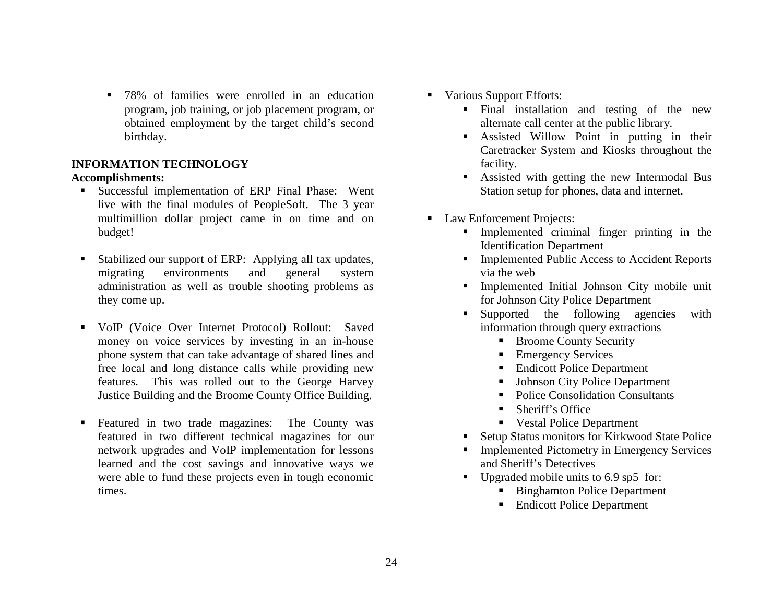$\blacksquare$  78% of families were enrolled in an education program, job training, or job placement program, or obtained employment by the target child's second birthday.

# **INFORMATION TECHNOLOGY**

## **Accomplishments:**

- Successful implementation of ERP Final Phase: Went live with the final modules of PeopleSoft. The 3 year multimillion dollar project came in on time and on budget!
- ٠ Stabilized our support of ERP: Applying all tax updates, migrating environments and general system administration as well as trouble shooting problems as they come up.
- $\blacksquare$  VoIP (Voice Over Internet Protocol) Rollout: Saved money on voice services by investing in an in-house phone system that can take advantage of shared lines and free local and long distance calls while providing new features. This was rolled out to the George Harvey Justice Building and the Broome County Office Building.
- ٠ Featured in two trade magazines: The County was featured in two different technical magazines for our network upgrades and VoIP implementation for lessons learned and the cost savings and innovative ways we were able to fund these projects even in tough economic times.
- $\mathbf{E}^{\text{max}}$  Various Support Efforts:
	- Final installation and testing of the new alternate call center at the public library.
	- Assisted Willow Point in putting in their Caretracker System and Kiosks throughout the facility.
	- **Assisted with getting the new Intermodal Bus** Station setup for phones, data and internet.
- Law Enforcement Projects:
	- Implemented criminal finger printing in the Identification Department
	- Implemented Public Access to Accident Reports via the web
	- Implemented Initial Johnson City mobile unit for Johnson City Police Department
	- **Supported** the following agencies with information through query extractions
		- Broome County Security
		- Emergency Services
		- $\blacksquare$  . Endicott Police Department
		- Г Johnson City Police Department
		- Police Consolidation Consultants
		- Г Sheriff's Office
		- $\blacksquare$ Vestal Police Department
	- Г Setup Status monitors for Kirkwood State Police
	- Г Implemented Pictometry in Emergency Services and Sheriff's Detectives
	- $\blacksquare$  Upgraded mobile units to 6.9 sp5 for:
		- Binghamton Police Department
		- Endicott Police Department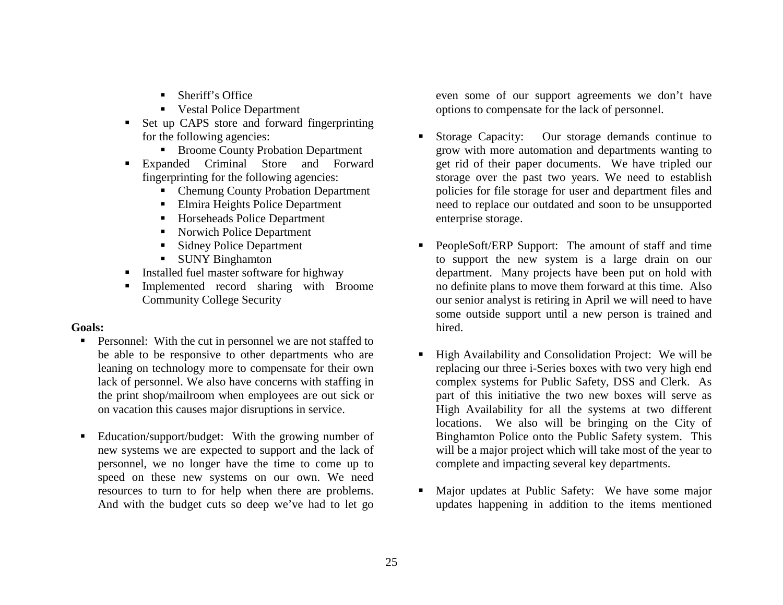- Sheriff's Office
- Vestal Police Department
- Г Set up CAPS store and forward fingerprinting for the following agencies:
	- Broome County Probation Department
- Expanded Criminal Store and Forward fingerprinting for the following agencies:
	- Chemung County Probation Department
	- Elmira Heights Police Department
	- Horseheads Police Department
	- Norwich Police Department
	- **Sidney Police Department**
	- SUNY Binghamton
- Г Installed fuel master software for highway
- Г Implemented record sharing with Broome Community College Security

## **Goals:**

- **Personnel:** With the cut in personnel we are not staffed to be able to be responsive to other departments who are leaning on technology more to compensate for their own lack of personnel. We also have concerns with staffing in the print shop/mailroom when employees are out sick or on vacation this causes major disruptions in service.
- Г Education/support/budget: With the growing number of new systems we are expected to support and the lack of personnel, we no longer have the time to come up to speed on these new systems on our own. We need resources to turn to for help when there are problems. And with the budget cuts so deep we've had to let go

even some of our support agreements we don't have options to compensate for the lack of personnel.

- Г Storage Capacity: Our storage demands continue to grow with more automation and departments wanting to get rid of their paper documents. We have tripled our storage over the past two years. We need to establish policies for file storage for user and department files and need to replace our outdated and soon to be unsupported enterprise storage.
- Г PeopleSoft/ERP Support: The amount of staff and time to support the new system is a large drain on our department. Many projects have been put on hold with no definite plans to move them forward at this time. Also our senior analyst is retiring in April we will need to have some outside support until a new person is trained and hired.
- Г High Availability and Consolidation Project: We will be replacing our three i-Series boxes with two very high end complex systems for Public Safety, DSS and Clerk. As part of this initiative the two new boxes will serve as High Availability for all the systems at two different locations. We also will be bringing on the City of Binghamton Police onto the Public Safety system. This will be a major project which will take most of the year to complete and impacting several key departments.
- Г Major updates at Public Safety: We have some major updates happening in addition to the items mentioned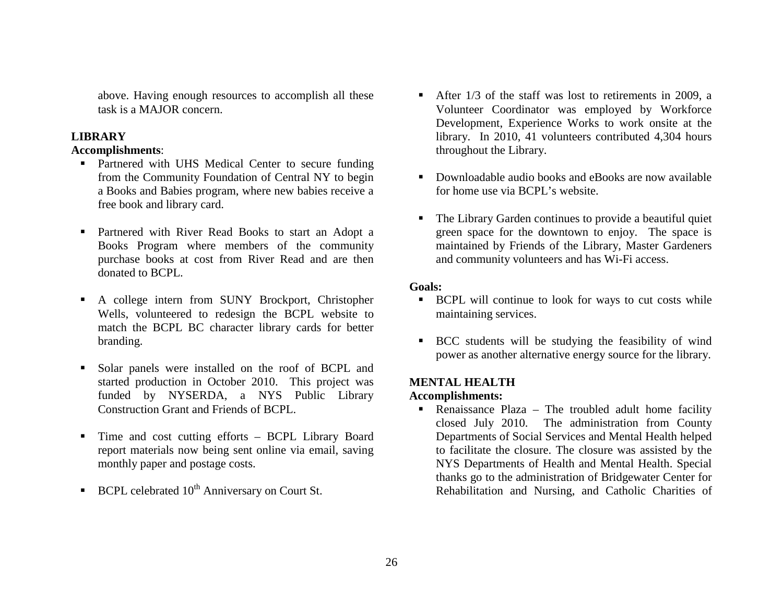above. Having enough resources to accomplish all these task is a MAJOR concern.

#### **LIBRARY**

#### **Accomplishments**:

- **Partnered with UHS Medical Center to secure funding** from the Community Foundation of Central NY to begin a Books and Babies program, where new babies receive a free book and library card.
- Partnered with River Read Books to start an Adopt a Books Program where members of the community purchase books at cost from River Read and are then donated to BCPL.
- A college intern from SUNY Brockport, Christopher Wells, volunteered to redesign the BCPL website to match the BCPL BC character library cards for better branding.
- Solar panels were installed on the roof of BCPL and started production in October 2010. This project was funded by NYSERDA, a NYS Public Library Construction Grant and Friends of BCPL.
- $\blacksquare$  Time and cost cutting efforts – BCPL Library Board report materials now being sent online via email, saving monthly paper and postage costs.
- **BCPL** celebrated  $10^{th}$  Anniversary on Court St.
- After 1/3 of the staff was lost to retirements in 2009, a Volunteer Coordinator was employed by Workforce Development, Experience Works to work onsite at the library. In 2010, 41 volunteers contributed 4,304 hours throughout the Library.
- Downloadable audio books and eBooks are now available for home use via BCPL's website.
- The Library Garden continues to provide a beautiful quiet green space for the downtown to enjoy. The space is maintained by Friends of the Library, Master Gardeners and community volunteers and has Wi-Fi access.

## **Goals:**

- **BCPL** will continue to look for ways to cut costs while maintaining services.
- BCC students will be studying the feasibility of wind power as another alternative energy source for the library.

# **MENTAL HEALTH**

#### **Accomplishments:**

 $\blacksquare$  Renaissance Plaza – The troubled adult home facility closed July 2010. The administration from County Departments of Social Services and Mental Health helped to facilitate the closure. The closure was assisted by the NYS Departments of Health and Mental Health. Special thanks go to the administration of Bridgewater Center for Rehabilitation and Nursing, and Catholic Charities of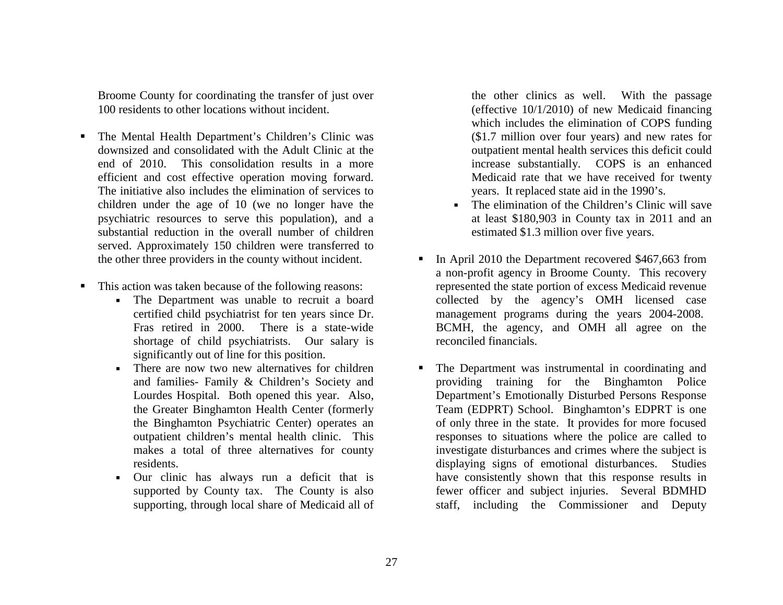Broome County for coordinating the transfer of just over 100 residents to other locations without incident.

- п The Mental Health Department's Children's Clinic was downsized and consolidated with the Adult Clinic at the end of 2010. This consolidation results in a more efficient and cost effective operation moving forward. The initiative also includes the elimination of services to children under the age of 10 (we no longer have the psychiatric resources to serve this population), and a substantial reduction in the overall number of children served. Approximately 150 children were transferred to the other three providers in the county without incident.
- ٠ This action was taken because of the following reasons:
	- The Department was unable to recruit a board certified child psychiatrist for ten years since Dr. Fras retired in 2000. There is a state-wide shortage of child psychiatrists. Our salary is significantly out of line for this position.
	- There are now two new alternatives for children and families- Family & Children's Society and Lourdes Hospital. Both opened this year. Also, the Greater Binghamton Health Center (formerly the Binghamton Psychiatric Center) operates an outpatient children's mental health clinic. This makes a total of three alternatives for county residents.
	- Our clinic has always run a deficit that is supported by County tax. The County is also supporting, through local share of Medicaid all of

the other clinics as well. With the passage (effective 10/1/2010) of new Medicaid financing which includes the elimination of COPS funding (\$1.7 million over four years) and new rates for outpatient mental health services this deficit could increase substantially. COPS is an enhanced Medicaid rate that we have received for twenty years. It replaced state aid in the 1990's.

- The elimination of the Children's Clinic will save at least \$180,903 in County tax in 2011 and an estimated \$1.3 million over five years.
- In April 2010 the Department recovered \$467,663 from a non-profit agency in Broome County. This recovery represented the state portion of excess Medicaid revenue collected by the agency's OMH licensed case management programs during the years 2004-2008. BCMH, the agency, and OMH all agree on the reconciled financials.
- $\blacksquare$  The Department was instrumental in coordinating and providing training for the Binghamton Police Department's Emotionally Disturbed Persons Response Team (EDPRT) School. Binghamton's EDPRT is one of only three in the state. It provides for more focused responses to situations where the police are called to investigate disturbances and crimes where the subject is displaying signs of emotional disturbances. Studies have consistently shown that this response results in fewer officer and subject injuries. Several BDMHD staff, including the Commissioner and Deputy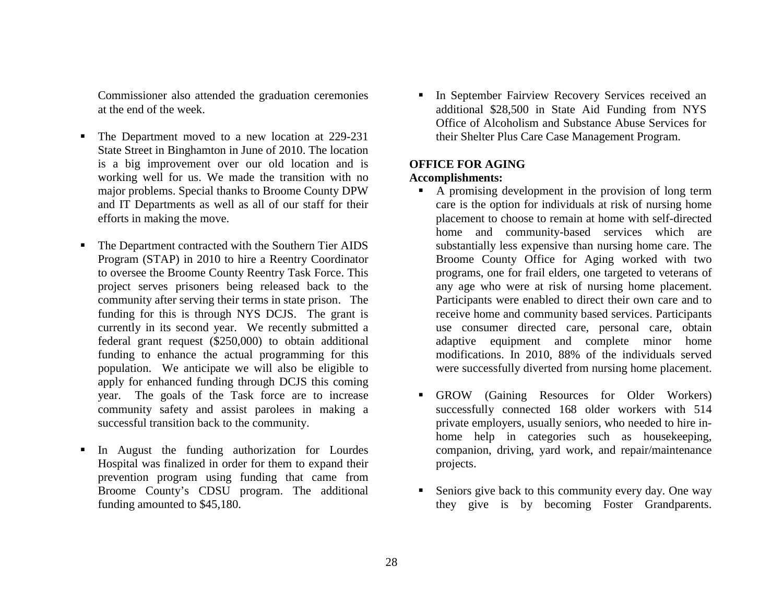Commissioner also attended the graduation ceremonies at the end of the week.

- Г The Department moved to a new location at 229-231 State Street in Binghamton in June of 2010. The location is a big improvement over our old location and is working well for us. We made the transition with no major problems. Special thanks to Broome County DPW and IT Departments as well as all of our staff for their efforts in making the move.
- Г The Department contracted with the Southern Tier AIDS Program (STAP) in 2010 to hire a Reentry Coordinator to oversee the Broome County Reentry Task Force. This project serves prisoners being released back to the community after serving their terms in state prison. The funding for this is through NYS DCJS. The grant is currently in its second year. We recently submitted a federal grant request (\$250,000) to obtain additional funding to enhance the actual programming for this population. We anticipate we will also be eligible to apply for enhanced funding through DCJS this coming year. The goals of the Task force are to increase community safety and assist parolees in making a successful transition back to the community.
- Г In August the funding authorization for Lourdes Hospital was finalized in order for them to expand their prevention program using funding that came from Broome County's CDSU program. The additional funding amounted to \$45,180.

Г In September Fairview Recovery Services received an additional \$28,500 in State Aid Funding from NYS Office of Alcoholism and Substance Abuse Services for their Shelter Plus Care Case Management Program.

# **OFFICE FOR AGING**

## **Accomplishments:**

- A promising development in the provision of long term care is the option for individuals at risk of nursing home placement to choose to remain at home with self-directed home and community-based services which are substantially less expensive than nursing home care. The Broome County Office for Aging worked with two programs, one for frail elders, one targeted to veterans of any age who were at risk of nursing home placement. Participants were enabled to direct their own care and to receive home and community based services. Participants use consumer directed care, personal care, obtain adaptive equipment and complete minor home modifications. In 2010, 88% of the individuals served were successfully diverted from nursing home placement.
- GROW (Gaining Resources for Older Workers) successfully connected 168 older workers with 514 private employers, usually seniors, who needed to hire inhome help in categories such as housekeeping, companion, driving, yard work, and repair/maintenance projects.
- Г Seniors give back to this community every day. One way they give is by becoming Foster Grandparents.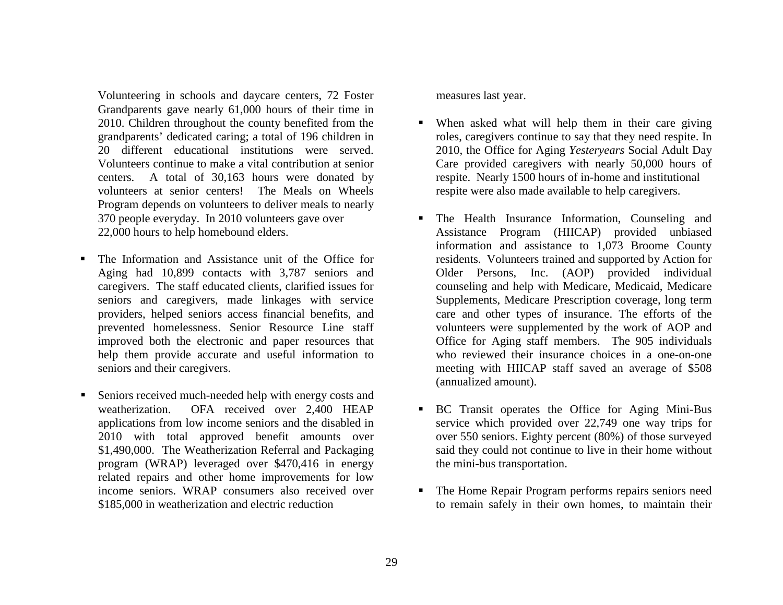Volunteering in schools and daycare centers, 72 Foster Grandparents gave nearly 61,000 hours of their time in 2010. Children throughout the county benefited from the grandparents' dedicated caring; a total of 196 children in 20 different educational institutions were served. Volunteers continue to make a vital contribution at senior centers. A total of 30,163 hours were donated by volunteers at senior centers! The Meals on Wheels Program depends on volunteers to deliver meals to nearly 370 people everyday. In 2010 volunteers gave over 22,000 hours to help homebound elders.

- Г The Information and Assistance unit of the Office for Aging had 10,899 contacts with 3,787 seniors and caregivers. The staff educated clients, clarified issues for seniors and caregivers, made linkages with service providers, helped seniors access financial benefits, and prevented homelessness. Senior Resource Line staff improved both the electronic and paper resources that help them provide accurate and useful information to seniors and their caregivers.
- Г Seniors received much-needed help with energy costs and weatherization. OFA received over 2,400 HEAP applications from low income seniors and the disabled in 2010 with total approved benefit amounts over \$1,490,000. The Weatherization Referral and Packaging program (WRAP) leveraged over \$470,416 in energy related repairs and other home improvements for low income seniors. WRAP consumers also received over \$185,000 in weatherization and electric reduction

measures last year.

- When asked what will help them in their care giving roles, caregivers continue to say that they need respite. In 2010, the Office for Aging *Yesteryears* Social Adult Day Care provided caregivers with nearly 50,000 hours of respite. Nearly 1500 hours of in-home and institutional respite were also made available to help caregivers.
- The Health Insurance Information, Counseling and Assistance Program (HIICAP) provided unbiased information and assistance to 1,073 Broome County residents. Volunteers trained and supported by Action for Older Persons, Inc. (AOP) provided individual counseling and help with Medicare, Medicaid, Medicare Supplements, Medicare Prescription coverage, long term care and other types of insurance. The efforts of the volunteers were supplemented by the work of AOP and Office for Aging staff members. The 905 individuals who reviewed their insurance choices in a one-on-one meeting with HIICAP staff saved an average of \$508 (annualized amount).
- п. BC Transit operates the Office for Aging Mini-Bus service which provided over 22,749 one way trips for over 550 seniors. Eighty percent (80%) of those surveyed said they could not continue to live in their home without the mini-bus transportation.
- Г The Home Repair Program performs repairs seniors need to remain safely in their own homes, to maintain their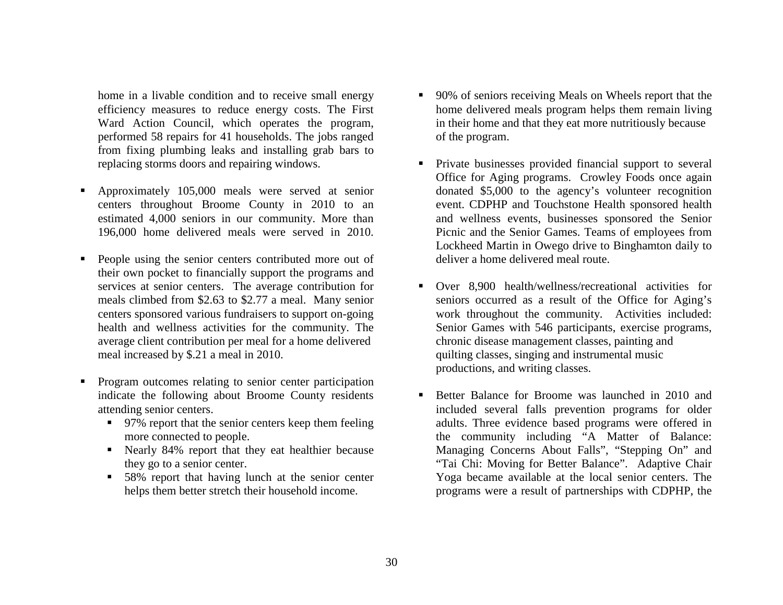home in a livable condition and to receive small energy efficiency measures to reduce energy costs. The First Ward Action Council, which operates the program, performed 58 repairs for 41 households. The jobs ranged from fixing plumbing leaks and installing grab bars to replacing storms doors and repairing windows.

- Г Approximately 105,000 meals were served at senior centers throughout Broome County in 2010 to an estimated 4,000 seniors in our community. More than 196,000 home delivered meals were served in 2010.
- $\blacksquare$  People using the senior centers contributed more out of their own pocket to financially support the programs and services at senior centers. The average contribution for meals climbed from \$2.63 to \$2.77 a meal. Many senior centers sponsored various fundraisers to support on-going health and wellness activities for the community. The average client contribution per meal for a home delivered meal increased by \$.21 a meal in 2010.
- Г Program outcomes relating to senior center participation indicate the following about Broome County residents attending senior centers.
	- 97% report that the senior centers keep them feeling more connected to people.
	- Nearly 84% report that they eat healthier because they go to a senior center.
	- 58% report that having lunch at the senior center helps them better stretch their household income.
- Г 90% of seniors receiving Meals on Wheels report that the home delivered meals program helps them remain living in their home and that they eat more nutritiously because of the program.
- Private businesses provided financial support to several Office for Aging programs. Crowley Foods once again donated \$5,000 to the agency's volunteer recognition event. CDPHP and Touchstone Health sponsored health and wellness events, businesses sponsored the Senior Picnic and the Senior Games. Teams of employees from Lockheed Martin in Owego drive to Binghamton daily to deliver a home delivered meal route.
- Over 8,900 health/wellness/recreational activities for seniors occurred as a result of the Office for Aging's work throughout the community. Activities included: Senior Games with 546 participants, exercise programs, chronic disease management classes, painting and quilting classes, singing and instrumental music productions, and writing classes.
- Г Better Balance for Broome was launched in 2010 and included several falls prevention programs for older adults. Three evidence based programs were offered in the community including "A Matter of Balance: Managing Concerns About Falls", "Stepping On" and "Tai Chi: Moving for Better Balance". Adaptive Chair Yoga became available at the local senior centers. The programs were a result of partnerships with CDPHP, the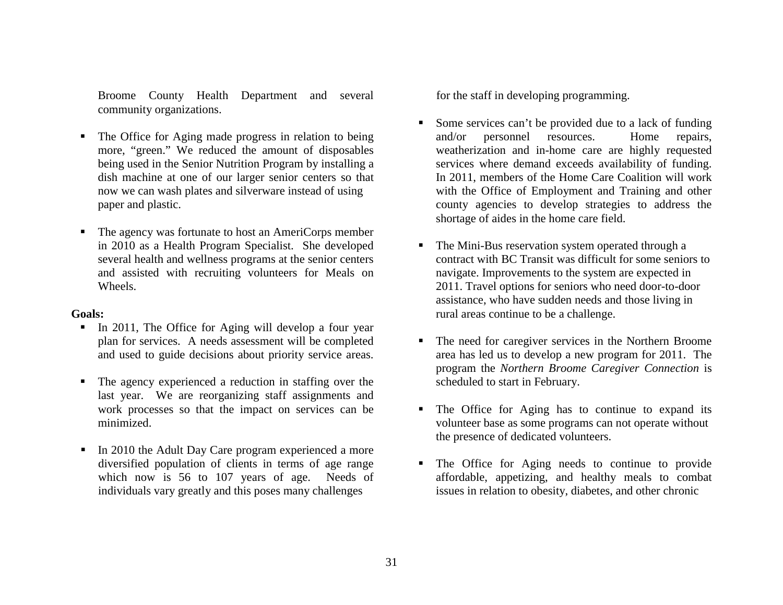Broome County Health Department and several community organizations.

- Г The Office for Aging made progress in relation to being more, "green." We reduced the amount of disposables being used in the Senior Nutrition Program by installing a dish machine at one of our larger senior centers so that now we can wash plates and silverware instead of using paper and plastic.
- Г The agency was fortunate to host an AmeriCorps member in 2010 as a Health Program Specialist. She developed several health and wellness programs at the senior centers and assisted with recruiting volunteers for Meals on Wheels.

#### **Goals:**

- In 2011, The Office for Aging will develop a four year plan for services. A needs assessment will be completed and used to guide decisions about priority service areas.
- Г The agency experienced a reduction in staffing over the last year. We are reorganizing staff assignments and work processes so that the impact on services can be minimized.
- In 2010 the Adult Day Care program experienced a more diversified population of clients in terms of age range which now is 56 to 107 years of age. Needs of individuals vary greatly and this poses many challenges

for the staff in developing programming.

- Г Some services can't be provided due to a lack of funding and/or personnel resources. Home repairs, weatherization and in-home care are highly requested services where demand exceeds availability of funding. In 2011, members of the Home Care Coalition will work with the Office of Employment and Training and other county agencies to develop strategies to address the shortage of aides in the home care field.
- $\blacksquare$  The Mini-Bus reservation system operated through a contract with BC Transit was difficult for some seniors to navigate. Improvements to the system are expected in 2011. Travel options for seniors who need door-to-door assistance, who have sudden needs and those living in rural areas continue to be a challenge.
- Г The need for caregiver services in the Northern Broome area has led us to develop a new program for 2011. The program the *Northern Broome Caregiver Connection* is scheduled to start in February.
- Г The Office for Aging has to continue to expand its volunteer base as some programs can not operate without the presence of dedicated volunteers.
- Г The Office for Aging needs to continue to provide affordable, appetizing, and healthy meals to combat issues in relation to obesity, diabetes, and other chronic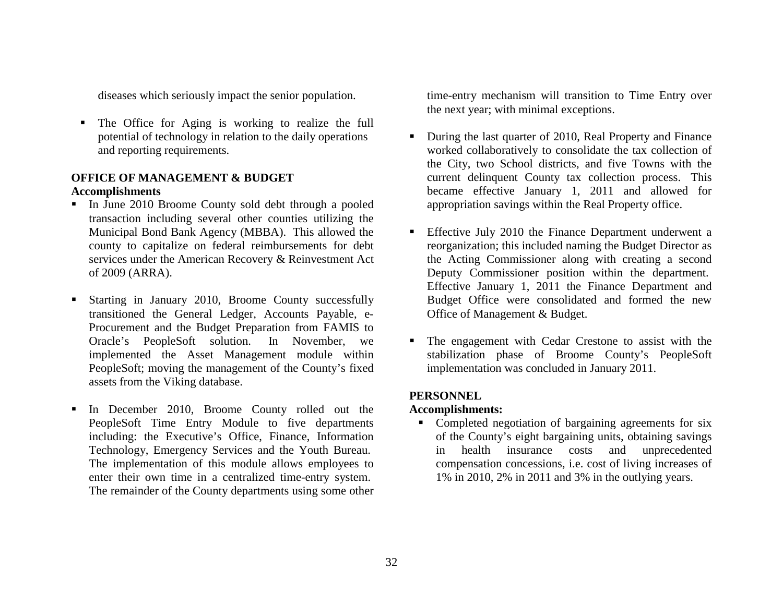diseases which seriously impact the senior population.

Г The Office for Aging is working to realize the full potential of technology in relation to the daily operations and reporting requirements.

## **OFFICE OF MANAGEMENT & BUDGET Accomplishments**

- In June 2010 Broome County sold debt through a pooled transaction including several other counties utilizing the Municipal Bond Bank Agency (MBBA). This allowed the county to capitalize on federal reimbursements for debt services under the American Recovery & Reinvestment Act of 2009 (ARRA).
- Г Starting in January 2010, Broome County successfully transitioned the General Ledger, Accounts Payable, e-Procurement and the Budget Preparation from FAMIS to Oracle's PeopleSoft solution. In November, we implemented the Asset Management module within PeopleSoft; moving the management of the County's fixed assets from the Viking database.
- Г In December 2010, Broome County rolled out the PeopleSoft Time Entry Module to five departments including: the Executive's Office, Finance, Information Technology, Emergency Services and the Youth Bureau. The implementation of this module allows employees to enter their own time in a centralized time-entry system. The remainder of the County departments using some other

time-entry mechanism will transition to Time Entry over the next year; with minimal exceptions.

- $\blacksquare$  During the last quarter of 2010, Real Property and Finance worked collaboratively to consolidate the tax collection of the City, two School districts, and five Towns with the current delinquent County tax collection process. This became effective January 1, 2011 and allowed for appropriation savings within the Real Property office.
- **Effective July 2010 the Finance Department underwent a** reorganization; this included naming the Budget Director as the Acting Commissioner along with creating a second Deputy Commissioner position within the department. Effective January 1, 2011 the Finance Department and Budget Office were consolidated and formed the new Office of Management & Budget.
- The engagement with Cedar Crestone to assist with the stabilization phase of Broome County's PeopleSoft implementation was concluded in January 2011.

## **PERSONNEL**

#### **Accomplishments:**

• Completed negotiation of bargaining agreements for six of the County's eight bargaining units, obtaining savings in health insurance costs and unprecedented compensation concessions, i.e. cost of living increases of 1% in 2010, 2% in 2011 and 3% in the outlying years.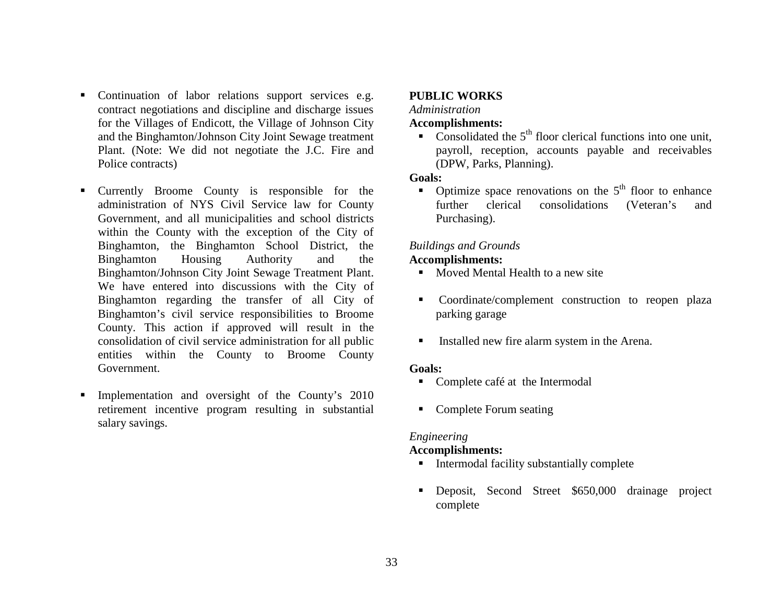- Continuation of labor relations support services e.g. contract negotiations and discipline and discharge issues for the Villages of Endicott, the Village of Johnson City and the Binghamton/Johnson City Joint Sewage treatment Plant. (Note: We did not negotiate the J.C. Fire and Police contracts)
- Currently Broome County is responsible for the administration of NYS Civil Service law for County Government, and all municipalities and school districts within the County with the exception of the City of Binghamton, the Binghamton School District, the Binghamton Housing Authority and the Binghamton/Johnson City Joint Sewage Treatment Plant. We have entered into discussions with the City of Binghamton regarding the transfer of all City of Binghamton's civil service responsibilities to Broome County. This action if approved will result in the consolidation of civil service administration for all public entities within the County to Broome County Government.
- Г Implementation and oversight of the County's 2010 retirement incentive program resulting in substantial salary savings.

#### **PUBLIC WORKS**

#### *Administration*

#### **Accomplishments:**

• Consolidated the  $5<sup>th</sup>$  floor clerical functions into one unit, payroll, reception, accounts payable and receivables (DPW, Parks, Planning).

#### **Goals:**

• Optimize space renovations on the  $5<sup>th</sup>$  floor to enhance further clerical consolidations (Veteran's and Purchasing).

## *Buildings and Grounds*

#### **Accomplishments:**

- Moved Mental Health to a new site
- **Coordinate/complement construction to reopen plaza** parking garage
- Installed new fire alarm system in the Arena.

#### **Goals:**

- Complete café at the Intermodal
- Complete Forum seating

#### *Engineering*

#### **Accomplishments:**

- **I** Intermodal facility substantially complete
- Deposit, Second Street \$650,000 drainage project complete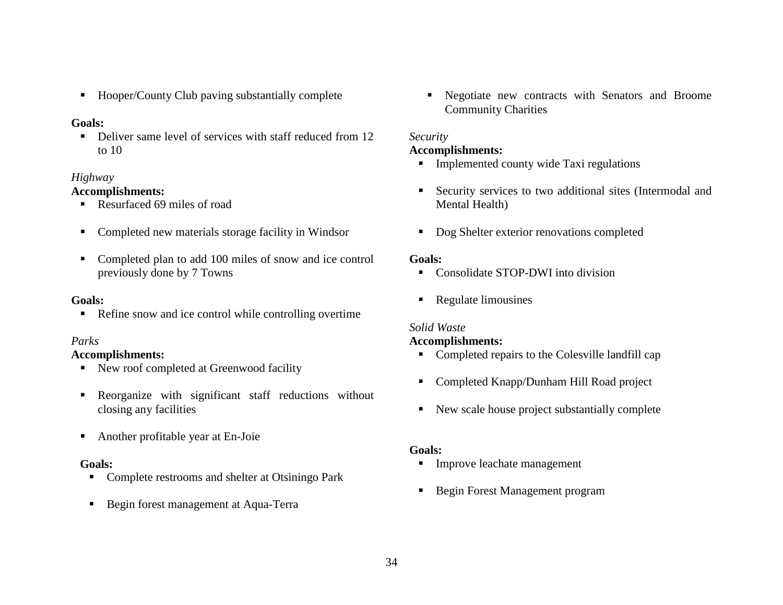■ Hooper/County Club paving substantially complete

## **Goals:**

Г Deliver same level of services with staff reduced from 12 to 10

## *Highway*

# **Accomplishments:**

- Resurfaced 69 miles of road
- Completed new materials storage facility in Windsor
- Completed plan to add 100 miles of snow and ice control previously done by 7 Towns

### **Goals:**

**Refine snow and ice control while controlling overtime** 

## *Parks*

## **Accomplishments:**

- New roof completed at Greenwood facility
- Reorganize with significant staff reductions without closing any facilities
- $\blacksquare$ Another profitable year at En-Joie

#### **Goals:**

- **Complete restrooms and shelter at Otsiningo Park**
- **Begin forest management at Aqua-Terra**

 $\blacksquare$  . Negotiate new contracts with Senators and Broome Community Charities

# *Security*

# **Accomplishments:**

- **Implemented county wide Taxi regulations**
- $\mathbf{r}$  Security services to two additional sites (Intermodal and Mental Health)
- Dog Shelter exterior renovations completed

## **Goals:**

- Consolidate STOP-DWI into division
- $\blacksquare$ Regulate limousines

# *Solid Waste*

## **Accomplishments:**

- Completed repairs to the Colesville landfill cap
- Completed Knapp/Dunham Hill Road project
- New scale house project substantially complete

# **Goals:**

- **Improve leachate management**
- Begin Forest Management program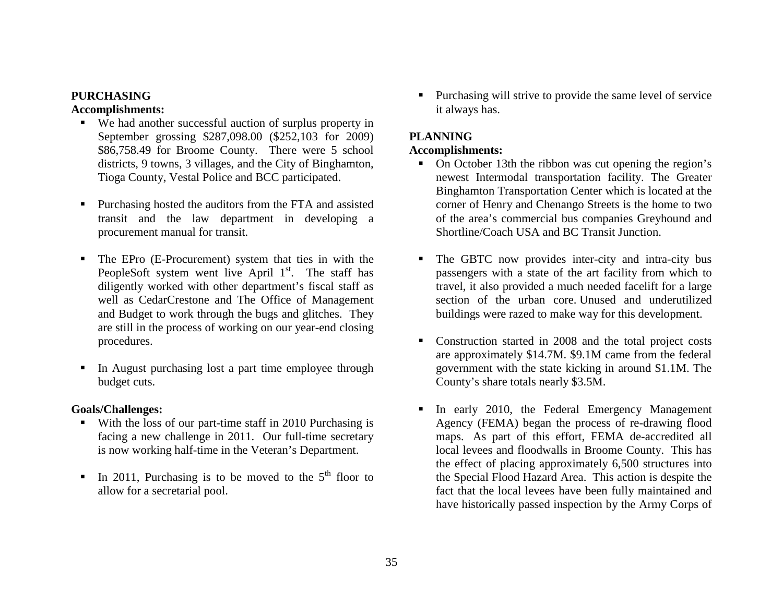# **PURCHASING**

**Accomplishments:** 

- We had another successful auction of surplus property in September grossing \$287,098.00 (\$252,103 for 2009) \$86,758.49 for Broome County. There were 5 school districts, 9 towns, 3 villages, and the City of Binghamton, Tioga County, Vestal Police and BCC participated.
- Г Purchasing hosted the auditors from the FTA and assisted transit and the law department in developing a procurement manual for transit.
- $\blacksquare$  The EPro (E-Procurement) system that ties in with the PeopleSoft system went live April  $1<sup>st</sup>$ . The staff has diligently worked with other department's fiscal staff as well as CedarCrestone and The Office of Management and Budget to work through the bugs and glitches. They are still in the process of working on our year-end closing procedures.
- Г In August purchasing lost a part time employee through budget cuts.

# **Goals/Challenges:**

- With the loss of our part-time staff in 2010 Purchasing is facing a new challenge in 2011. Our full-time secretary is now working half-time in the Veteran's Department.
- ٠ In 2011, Purchasing is to be moved to the  $5<sup>th</sup>$  floor to allow for a secretarial pool.

 $\blacksquare$  Purchasing will strive to provide the same level of service it always has.

# **PLANNING**

# **Accomplishments:**

- On October 13th the ribbon was cut opening the region's newest Intermodal transportation facility. The Greater Binghamton Transportation Center which is located at the corner of Henry and Chenango Streets is the home to two of the area's commercial bus companies Greyhound and Shortline/Coach USA and BC Transit Junction.
- The GBTC now provides inter-city and intra-city bus passengers with a state of the art facility from which to travel, it also provided a much needed facelift for a large section of the urban core. Unused and underutilized buildings were razed to make way for this development.
- $\blacksquare$  Construction started in 2008 and the total project costs are approximately \$14.7M. \$9.1M came from the federal government with the state kicking in around \$1.1M. The County's share totals nearly \$3.5M.
- Г In early 2010, the Federal Emergency Management Agency (FEMA) began the process of re-drawing flood maps. As part of this effort, FEMA de-accredited all local levees and floodwalls in Broome County. This has the effect of placing approximately 6,500 structures into the Special Flood Hazard Area. This action is despite the fact that the local levees have been fully maintained and have historically passed inspection by the Army Corps of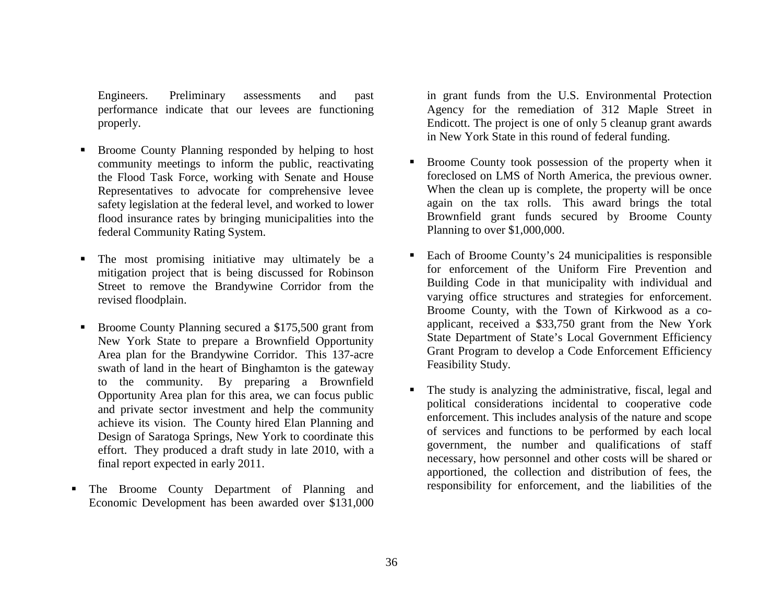Engineers. Preliminary assessments and past performance indicate that our levees are functioning properly.

- Г Broome County Planning responded by helping to host community meetings to inform the public, reactivating the Flood Task Force, working with Senate and House Representatives to advocate for comprehensive levee safety legislation at the federal level, and worked to lower flood insurance rates by bringing municipalities into the federal Community Rating System.
- Г The most promising initiative may ultimately be a mitigation project that is being discussed for Robinson Street to remove the Brandywine Corridor from the revised floodplain.
- $\blacksquare$  Broome County Planning secured a \$175,500 grant from New York State to prepare a Brownfield Opportunity Area plan for the Brandywine Corridor. This 137-acre swath of land in the heart of Binghamton is the gateway to the community. By preparing a Brownfield Opportunity Area plan for this area, we can focus public and private sector investment and help the community achieve its vision. The County hired Elan Planning and Design of Saratoga Springs, New York to coordinate this effort. They produced a draft study in late 2010, with a final report expected in early 2011.
- The Broome County Department of Planning and Economic Development has been awarded over \$131,000

in grant funds from the U.S. Environmental Protection Agency for the remediation of 312 Maple Street in Endicott. The project is one of only 5 cleanup grant awards in New York State in this round of federal funding.

- $\blacksquare$  Broome County took possession of the property when it foreclosed on LMS of North America, the previous owner. When the clean up is complete, the property will be once again on the tax rolls. This award brings the total Brownfield grant funds secured by Broome County Planning to over \$1,000,000.
- $\blacksquare$  Each of Broome County's 24 municipalities is responsible for enforcement of the Uniform Fire Prevention and Building Code in that municipality with individual and varying office structures and strategies for enforcement. Broome County, with the Town of Kirkwood as a coapplicant, received a \$33,750 grant from the New York State Department of State's Local Government Efficiency Grant Program to develop a Code Enforcement Efficiency Feasibility Study.
- $\blacksquare$  The study is analyzing the administrative, fiscal, legal and political considerations incidental to cooperative code enforcement. This includes analysis of the nature and scope of services and functions to be performed by each local government, the number and qualifications of staff necessary, how personnel and other costs will be shared or apportioned, the collection and distribution of fees, the responsibility for enforcement, and the liabilities of the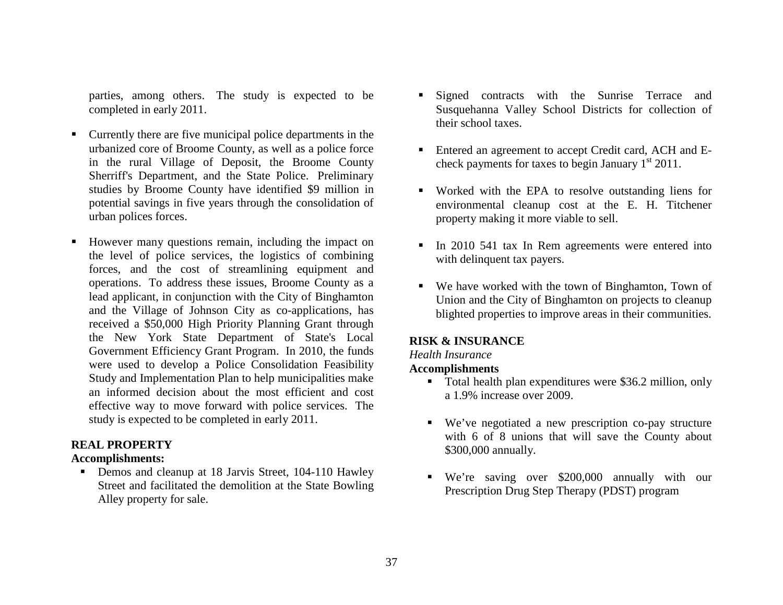parties, among others. The study is expected to be completed in early 2011.

- Currently there are five municipal police departments in the urbanized core of Broome County, as well as a police force in the rural Village of Deposit, the Broome County Sherriff's Department, and the State Police. Preliminary studies by Broome County have identified \$9 million in potential savings in five years through the consolidation of urban polices forces.
- Г However many questions remain, including the impact on the level of police services, the logistics of combining forces, and the cost of streamlining equipment and operations. To address these issues, Broome County as a lead applicant, in conjunction with the City of Binghamton and the Village of Johnson City as co-applications, has received a \$50,000 High Priority Planning Grant through the New York State Department of State's Local Government Efficiency Grant Program. In 2010, the funds were used to develop a Police Consolidation Feasibility Study and Implementation Plan to help municipalities make an informed decision about the most efficient and cost effective way to move forward with police services. The study is expected to be completed in early 2011.

## **REAL PROPERTY**

#### **Accomplishments:**

**Demos and cleanup at 18 Jarvis Street, 104-110 Hawley** Street and facilitated the demolition at the State Bowling Alley property for sale.

- Г Signed contracts with the Sunrise Terrace and Susquehanna Valley School Districts for collection of their school taxes.
- $\blacksquare$  Entered an agreement to accept Credit card, ACH and Echeck payments for taxes to begin January  $1<sup>st</sup> 2011$ .
- Worked with the EPA to resolve outstanding liens for environmental cleanup cost at the E. H. Titchener property making it more viable to sell.
- In 2010 541 tax In Rem agreements were entered into with delinquent tax payers.
- We have worked with the town of Binghamton, Town of Union and the City of Binghamton on projects to cleanup blighted properties to improve areas in their communities.

#### **RISK & INSURANCE**

#### *Health Insurance*

#### **Accomplishments**

- **Total health plan expenditures were \$36.2 million, only** a 1.9% increase over 2009.
- We've negotiated a new prescription co-pay structure with 6 of 8 unions that will save the County about \$300,000 annually.
- We're saving over \$200,000 annually with our Prescription Drug Step Therapy (PDST) program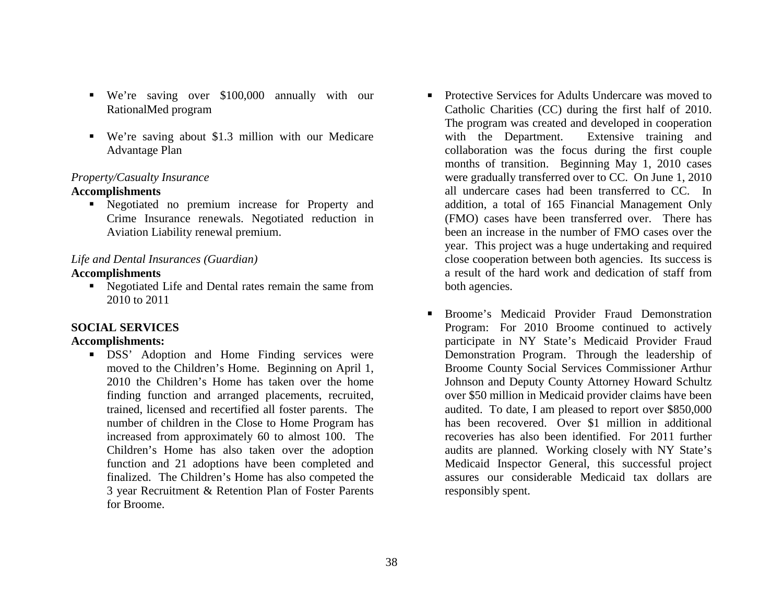- We're saving over \$100,000 annually with our RationalMed program
- We're saving about \$1.3 million with our Medicare Advantage Plan

#### *Property/Casualty Insurance*

#### **Accomplishments**

 Negotiated no premium increase for Property and Crime Insurance renewals. Negotiated reduction in Aviation Liability renewal premium.

## *Life and Dental Insurances (Guardian)*

#### **Accomplishments**

 Negotiated Life and Dental rates remain the same from 2010 to 2011

## **SOCIAL SERVICES**

#### **Accomplishments:**

**DSS** Adoption and Home Finding services were moved to the Children's Home. Beginning on April 1, 2010 the Children's Home has taken over the home finding function and arranged placements, recruited, trained, licensed and recertified all foster parents. The number of children in the Close to Home Program has increased from approximately 60 to almost 100. The Children's Home has also taken over the adoption function and 21 adoptions have been completed and finalized. The Children's Home has also competed the 3 year Recruitment & Retention Plan of Foster Parents for Broome.

- $\blacksquare$  Protective Services for Adults Undercare was moved to Catholic Charities (CC) during the first half of 2010. The program was created and developed in cooperation with the Department. Extensive training and collaboration was the focus during the first couple months of transition. Beginning May 1, 2010 cases were gradually transferred over to CC. On June 1, 2010 all undercare cases had been transferred to CC. In addition, a total of 165 Financial Management Only (FMO) cases have been transferred over. There has been an increase in the number of FMO cases over the year. This project was a huge undertaking and required close cooperation between both agencies. Its success is a result of the hard work and dedication of staff from both agencies.
- $\blacksquare$  Broome's Medicaid Provider Fraud Demonstration Program: For 2010 Broome continued to actively participate in NY State's Medicaid Provider Fraud Demonstration Program. Through the leadership of Broome County Social Services Commissioner Arthur Johnson and Deputy County Attorney Howard Schultz over \$50 million in Medicaid provider claims have been audited. To date, I am pleased to report over \$850,000 has been recovered. Over \$1 million in additional recoveries has also been identified. For 2011 further audits are planned. Working closely with NY State's Medicaid Inspector General, this successful project assures our considerable Medicaid tax dollars are responsibly spent.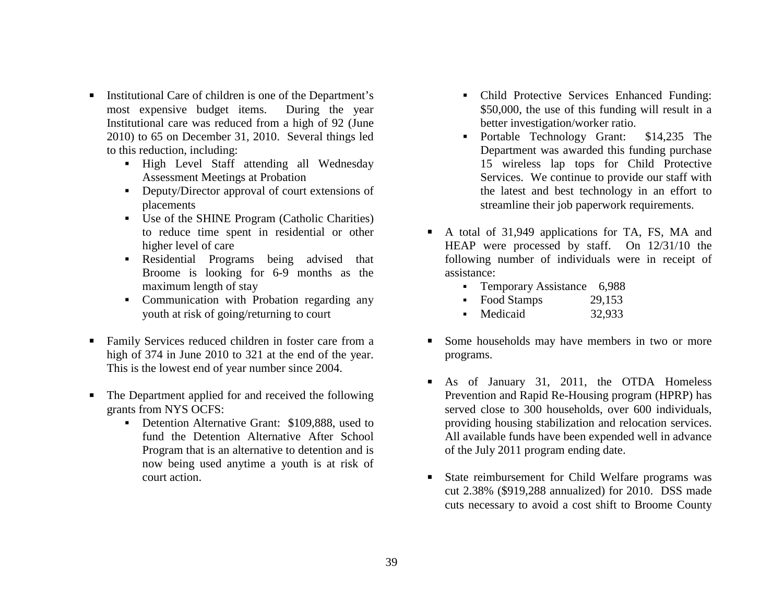- $\blacksquare$  Institutional Care of children is one of the Department's most expensive budget items. During the year Institutional care was reduced from a high of 92 (June 2010) to 65 on December 31, 2010. Several things led to this reduction, including:
	- High Level Staff attending all Wednesday Assessment Meetings at Probation
	- Deputy/Director approval of court extensions of placements
	- Use of the SHINE Program (Catholic Charities) to reduce time spent in residential or other higher level of care
	- Residential Programs being advised that Broome is looking for 6-9 months as the maximum length of stay
	- Communication with Probation regarding any youth at risk of going/returning to court
- Family Services reduced children in foster care from a high of 374 in June 2010 to 321 at the end of the year. This is the lowest end of year number since 2004.
- $\blacksquare$  The Department applied for and received the following grants from NYS OCFS:
	- **Detention Alternative Grant: \$109,888, used to** fund the Detention Alternative After School Program that is an alternative to detention and is now being used anytime a youth is at risk of court action.
- Child Protective Services Enhanced Funding: \$50,000, the use of this funding will result in a better investigation/worker ratio.
- Portable Technology Grant: \$14,235 The Department was awarded this funding purchase 15 wireless lap tops for Child Protective Services. We continue to provide our staff with the latest and best technology in an effort to streamline their job paperwork requirements.
- A total of 31,949 applications for TA, FS, MA and HEAP were processed by staff. On 12/31/10 the following number of individuals were in receipt of assistance:
	- Temporary Assistance 6,988
	- Food Stamps 29,153
	- Medicaid 32,933
- Some households may have members in two or more programs.
- $\blacksquare$  As of January 31, 2011, the OTDA Homeless Prevention and Rapid Re-Housing program (HPRP) has served close to 300 households, over 600 individuals, providing housing stabilization and relocation services. All available funds have been expended well in advance of the July 2011 program ending date.
- State reimbursement for Child Welfare programs was cut 2.38% (\$919,288 annualized) for 2010. DSS made cuts necessary to avoid a cost shift to Broome County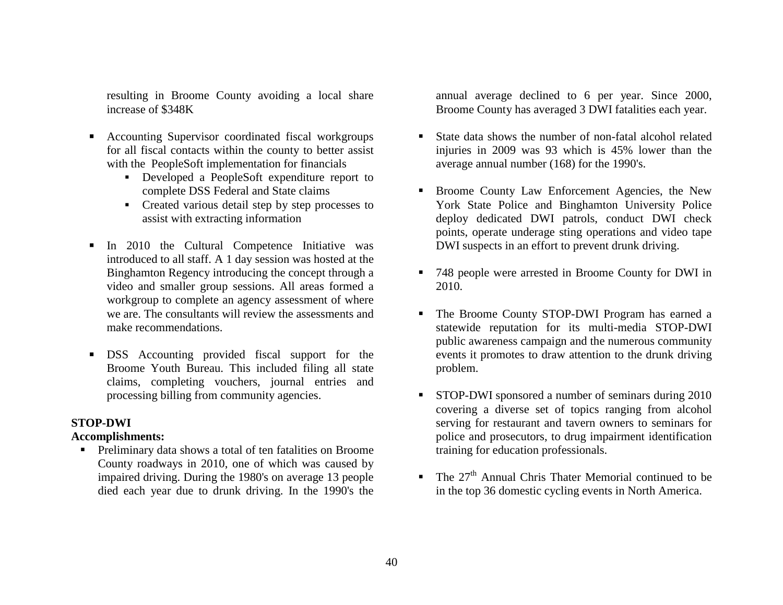resulting in Broome County avoiding a local share increase of \$348K

- $\blacksquare$  Accounting Supervisor coordinated fiscal workgroups for all fiscal contacts within the county to better assist with the PeopleSoft implementation for financials
	- Developed a PeopleSoft expenditure report to complete DSS Federal and State claims
	- Created various detail step by step processes to assist with extracting information
- $\blacksquare$  In 2010 the Cultural Competence Initiative was introduced to all staff. A 1 day session was hosted at the Binghamton Regency introducing the concept through a video and smaller group sessions. All areas formed a workgroup to complete an agency assessment of where we are. The consultants will review the assessments and make recommendations.
- $\blacksquare$  DSS Accounting provided fiscal support for the Broome Youth Bureau. This included filing all state claims, completing vouchers, journal entries and processing billing from community agencies.

## **STOP-DWI**

## **Accomplishments:**

 Preliminary data shows a total of ten fatalities on Broome County roadways in 2010, one of which was caused by impaired driving. During the 1980's on average 13 people died each year due to drunk driving. In the 1990's the

annual average declined to 6 per year. Since 2000, Broome County has averaged 3 DWI fatalities each year.

- Г State data shows the number of non-fatal alcohol related injuries in 2009 was 93 which is 45% lower than the average annual number (168) for the 1990's.
- $\blacksquare$  Broome County Law Enforcement Agencies, the New York State Police and Binghamton University Police deploy dedicated DWI patrols, conduct DWI check points, operate underage sting operations and video tape DWI suspects in an effort to prevent drunk driving.
- 748 people were arrested in Broome County for DWI in 2010.
- Г The Broome County STOP-DWI Program has earned a statewide reputation for its multi-media STOP-DWI public awareness campaign and the numerous community events it promotes to draw attention to the drunk driving problem.
- **STOP-DWI** sponsored a number of seminars during 2010 covering a diverse set of topics ranging from alcohol serving for restaurant and tavern owners to seminars for police and prosecutors, to drug impairment identification training for education professionals.
- The  $27<sup>th</sup>$  Annual Chris Thater Memorial continued to be in the top 36 domestic cycling events in North America.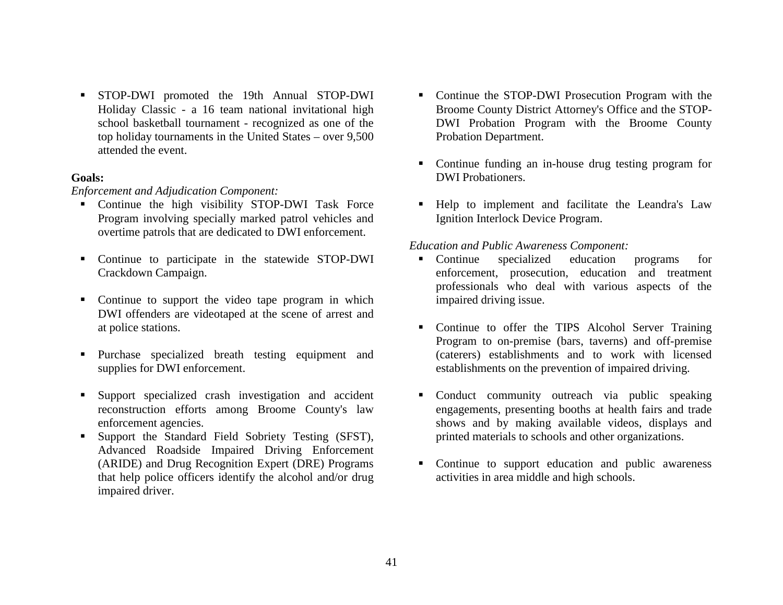STOP-DWI promoted the 19th Annual STOP-DWI Holiday Classic - a 16 team national invitational high school basketball tournament - recognized as one of the top holiday tournaments in the United States – over 9,500 attended the event.

#### **Goals:**

*Enforcement and Adjudication Component:* 

- Continue the high visibility STOP-DWI Task Force Program involving specially marked patrol vehicles and overtime patrols that are dedicated to DWI enforcement.
- Continue to participate in the statewide STOP-DWI Crackdown Campaign.
- Continue to support the video tape program in which DWI offenders are videotaped at the scene of arrest and at police stations.
- Purchase specialized breath testing equipment and supplies for DWI enforcement.
- $\blacksquare$  Support specialized crash investigation and accident reconstruction efforts among Broome County's law enforcement agencies.
- Г Support the Standard Field Sobriety Testing (SFST), Advanced Roadside Impaired Driving Enforcement (ARIDE) and Drug Recognition Expert (DRE) Programs that help police officers identify the alcohol and/or drug impaired driver.
- Continue the STOP-DWI Prosecution Program with the Broome County District Attorney's Office and the STOP-DWI Probation Program with the Broome County Probation Department.
- Continue funding an in-house drug testing program for DWI Probationers.
- Help to implement and facilitate the Leandra's Law Ignition Interlock Device Program.

## *Education and Public Awareness Component:*

- Continue specialized education programs for enforcement, prosecution, education and treatment professionals who deal with various aspects of the impaired driving issue.
- Continue to offer the TIPS Alcohol Server Training Program to on-premise (bars, taverns) and off-premise (caterers) establishments and to work with licensed establishments on the prevention of impaired driving.
- Conduct community outreach via public speaking engagements, presenting booths at health fairs and trade shows and by making available videos, displays and printed materials to schools and other organizations.
- **Continue to support education and public awareness** activities in area middle and high schools.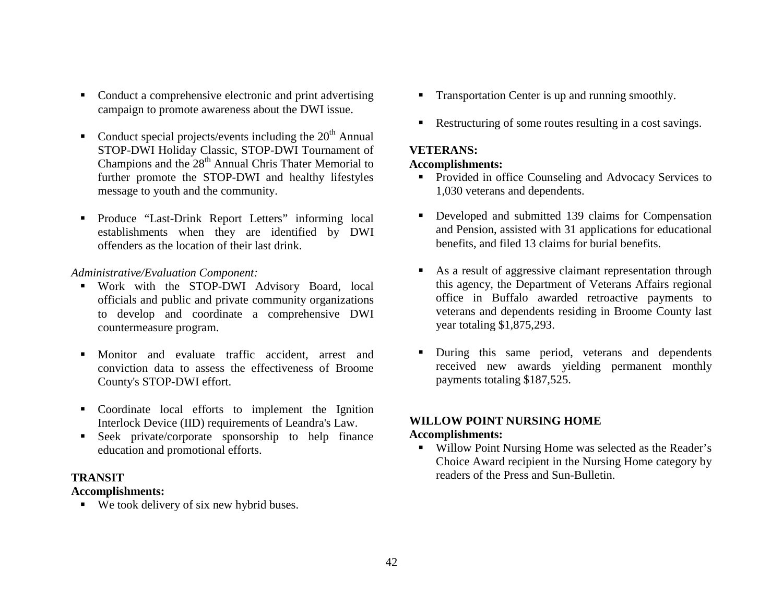- Conduct a comprehensive electronic and print advertising campaign to promote awareness about the DWI issue.
- Conduct special projects/events including the  $20<sup>th</sup>$  Annual STOP-DWI Holiday Classic, STOP-DWI Tournament of Champions and the  $28<sup>th</sup>$  Annual Chris Thater Memorial to further promote the STOP-DWI and healthy lifestyles message to youth and the community.
- Produce "Last-Drink Report Letters" informing local establishments when they are identified by DWI offenders as the location of their last drink.

#### *Administrative/Evaluation Component:*

- Work with the STOP-DWI Advisory Board, local officials and public and private community organizations to develop and coordinate a comprehensive DWI countermeasure program.
- Monitor and evaluate traffic accident, arrest and conviction data to assess the effectiveness of Broome County's STOP-DWI effort.
- Coordinate local efforts to implement the Ignition Interlock Device (IID) requirements of Leandra's Law.
- Seek private/corporate sponsorship to help finance education and promotional efforts.

#### **TRANSIT**

#### **Accomplishments:**

■ We took delivery of six new hybrid buses.

- **Transportation Center is up and running smoothly.**
- Restructuring of some routes resulting in a cost savings.

### **VETERANS:**

#### **Accomplishments:**

- **Provided in office Counseling and Advocacy Services to** 1,030 veterans and dependents.
- **Developed and submitted 139 claims for Compensation** and Pension, assisted with 31 applications for educational benefits, and filed 13 claims for burial benefits.
- As a result of aggressive claimant representation through this agency, the Department of Veterans Affairs regional office in Buffalo awarded retroactive payments to veterans and dependents residing in Broome County last year totaling \$1,875,293.
- Г During this same period, veterans and dependents received new awards yielding permanent monthly payments totaling \$187,525.

# **WILLOW POINT NURSING HOME**

## **Accomplishments:**

**Willow Point Nursing Home was selected as the Reader's** Choice Award recipient in the Nursing Home category by readers of the Press and Sun-Bulletin.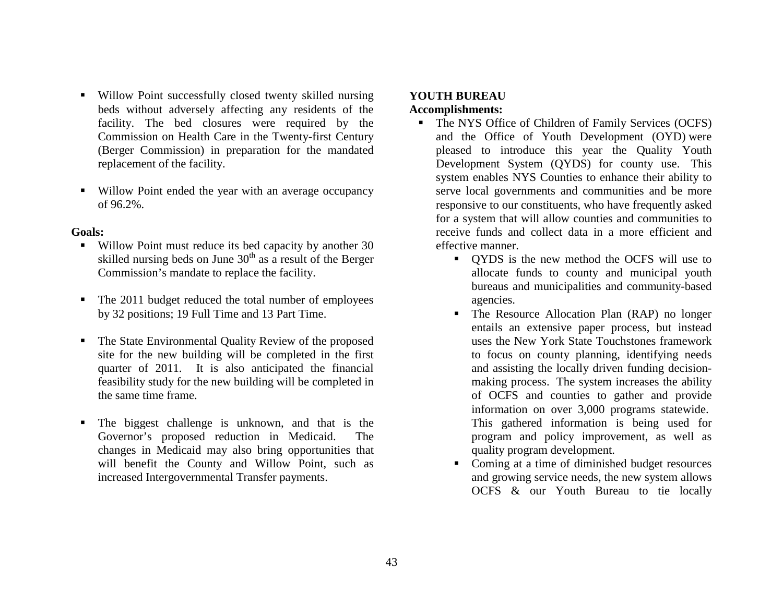- Willow Point successfully closed twenty skilled nursing beds without adversely affecting any residents of the facility. The bed closures were required by the Commission on Health Care in the Twenty-first Century (Berger Commission) in preparation for the mandated replacement of the facility.
- Willow Point ended the year with an average occupancy of 96.2%.

#### **Goals:**

- $\blacksquare$  . Willow Point must reduce its bed capacity by another 30 skilled nursing beds on June  $30<sup>th</sup>$  as a result of the Berger Commission's mandate to replace the facility.
- The 2011 budget reduced the total number of employees by 32 positions; 19 Full Time and 13 Part Time.
- $\blacksquare$  The State Environmental Quality Review of the proposed site for the new building will be completed in the first quarter of 2011. It is also anticipated the financial feasibility study for the new building will be completed in the same time frame.
- The biggest challenge is unknown, and that is the Governor's proposed reduction in Medicaid. The changes in Medicaid may also bring opportunities that will benefit the County and Willow Point, such as increased Intergovernmental Transfer payments.

# **YOUTH BUREAU**

## **Accomplishments:**

- The NYS Office of Children of Family Services (OCFS) and the Office of Youth Development (OYD) were pleased to introduce this year the Quality Youth Development System (QYDS) for county use. This system enables NYS Counties to enhance their ability to serve local governments and communities and be more responsive to our constituents, who have frequently asked for a system that will allow counties and communities to receive funds and collect data in a more efficient and effective manner.
	- QYDS is the new method the OCFS will use to allocate funds to county and municipal youth bureaus and municipalities and community-based agencies.
	- The Resource Allocation Plan (RAP) no longer entails an extensive paper process, but instead uses the New York State Touchstones framework to focus on county planning, identifying needs and assisting the locally driven funding decisionmaking process. The system increases the ability of OCFS and counties to gather and provide information on over 3,000 programs statewide. This gathered information is being used for program and policy improvement, as well as quality program development.
	- Coming at a time of diminished budget resources and growing service needs, the new system allows OCFS & our Youth Bureau to tie locally